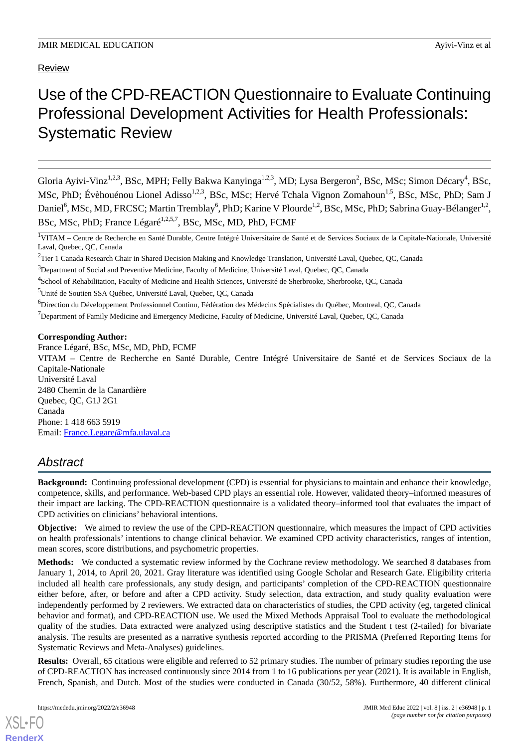# Use of the CPD-REACTION Questionnaire to Evaluate Continuing Professional Development Activities for Health Professionals: Systematic Review

Gloria Ayivi-Vinz<sup>1,2,3</sup>, BSc, MPH; Felly Bakwa Kanyinga<sup>1,2,3</sup>, MD; Lysa Bergeron<sup>2</sup>, BSc, MSc; Simon Décary<sup>4</sup>, BSc, MSc, PhD; Évèhouénou Lionel Adisso<sup>1,2,3</sup>, BSc, MSc; Hervé Tchala Vignon Zomahoun<sup>1,5</sup>, BSc, MSc, PhD; Sam J Daniel<sup>6</sup>, MSc, MD, FRCSC; Martin Tremblay<sup>6</sup>, PhD; Karine V Plourde<sup>1,2</sup>, BSc, MSc, PhD; Sabrina Guay-Bélanger<sup>1,2</sup>, BSc, MSc, PhD; France Légaré<sup>1,2,5,7</sup>, BSc, MSc, MD, PhD, FCMF

<sup>1</sup>VITAM – Centre de Recherche en Santé Durable, Centre Intégré Universitaire de Santé et de Services Sociaux de la Capitale-Nationale, Université Laval, Quebec, QC, Canada

<sup>2</sup>Tier 1 Canada Research Chair in Shared Decision Making and Knowledge Translation, Université Laval, Quebec, QC, Canada

<sup>4</sup>School of Rehabilitation, Faculty of Medicine and Health Sciences, Université de Sherbrooke, Sherbrooke, QC, Canada

<sup>5</sup>Unité de Soutien SSA Québec, Université Laval, Quebec, QC, Canada

<sup>6</sup>Direction du Développement Professionnel Continu, Fédération des Médecins Spécialistes du Québec, Montreal, QC, Canada

 $<sup>7</sup>$ Department of Family Medicine and Emergency Medicine, Faculty of Medicine, Université Laval, Quebec, QC, Canada</sup>

## **Corresponding Author:**

France Légaré, BSc, MSc, MD, PhD, FCMF VITAM – Centre de Recherche en Santé Durable, Centre Intégré Universitaire de Santé et de Services Sociaux de la Capitale-Nationale Université Laval 2480 Chemin de la Canardière Quebec, QC, G1J 2G1 Canada Phone: 1 418 663 5919 Email: [France.Legare@mfa.ulaval.ca](mailto:France.Legare@mfa.ulaval.ca)

## *Abstract*

**Background:** Continuing professional development (CPD) is essential for physicians to maintain and enhance their knowledge, competence, skills, and performance. Web-based CPD plays an essential role. However, validated theory–informed measures of their impact are lacking. The CPD-REACTION questionnaire is a validated theory–informed tool that evaluates the impact of CPD activities on clinicians' behavioral intentions.

**Objective:** We aimed to review the use of the CPD-REACTION questionnaire, which measures the impact of CPD activities on health professionals' intentions to change clinical behavior. We examined CPD activity characteristics, ranges of intention, mean scores, score distributions, and psychometric properties.

**Methods:** We conducted a systematic review informed by the Cochrane review methodology. We searched 8 databases from January 1, 2014, to April 20, 2021. Gray literature was identified using Google Scholar and Research Gate. Eligibility criteria included all health care professionals, any study design, and participants' completion of the CPD-REACTION questionnaire either before, after, or before and after a CPD activity. Study selection, data extraction, and study quality evaluation were independently performed by 2 reviewers. We extracted data on characteristics of studies, the CPD activity (eg, targeted clinical behavior and format), and CPD-REACTION use. We used the Mixed Methods Appraisal Tool to evaluate the methodological quality of the studies. Data extracted were analyzed using descriptive statistics and the Student t test (2-tailed) for bivariate analysis. The results are presented as a narrative synthesis reported according to the PRISMA (Preferred Reporting Items for Systematic Reviews and Meta-Analyses) guidelines.

**Results:** Overall, 65 citations were eligible and referred to 52 primary studies. The number of primary studies reporting the use of CPD-REACTION has increased continuously since 2014 from 1 to 16 publications per year (2021). It is available in English, French, Spanish, and Dutch. Most of the studies were conducted in Canada (30/52, 58%). Furthermore, 40 different clinical

<sup>&</sup>lt;sup>3</sup>Department of Social and Preventive Medicine, Faculty of Medicine, Université Laval, Quebec, QC, Canada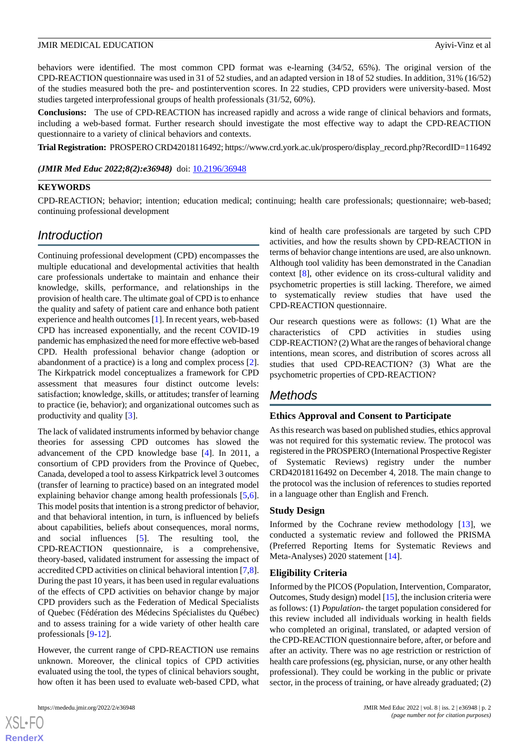behaviors were identified. The most common CPD format was e-learning (34/52, 65%). The original version of the CPD-REACTION questionnaire was used in 31 of 52 studies, and an adapted version in 18 of 52 studies. In addition, 31% (16/52) of the studies measured both the pre- and postintervention scores. In 22 studies, CPD providers were university-based. Most studies targeted interprofessional groups of health professionals (31/52, 60%).

**Conclusions:** The use of CPD-REACTION has increased rapidly and across a wide range of clinical behaviors and formats, including a web-based format. Further research should investigate the most effective way to adapt the CPD-REACTION questionnaire to a variety of clinical behaviors and contexts.

**Trial Registration:** PROSPERO CRD42018116492; https://www.crd.york.ac.uk/prospero/display\_record.php?RecordID=116492

(JMIR Med Educ 2022;8(2):e36948) doi: [10.2196/36948](http://dx.doi.org/10.2196/36948)

## **KEYWORDS**

CPD-REACTION; behavior; intention; education medical; continuing; health care professionals; questionnaire; web-based; continuing professional development

## *Introduction*

Continuing professional development (CPD) encompasses the multiple educational and developmental activities that health care professionals undertake to maintain and enhance their knowledge, skills, performance, and relationships in the provision of health care. The ultimate goal of CPD is to enhance the quality and safety of patient care and enhance both patient experience and health outcomes [[1\]](#page-12-0). In recent years, web-based CPD has increased exponentially, and the recent COVID-19 pandemic has emphasized the need for more effective web-based CPD. Health professional behavior change (adoption or abandonment of a practice) is a long and complex process [[2\]](#page-12-1). The Kirkpatrick model conceptualizes a framework for CPD assessment that measures four distinct outcome levels: satisfaction; knowledge, skills, or attitudes; transfer of learning to practice (ie, behavior); and organizational outcomes such as productivity and quality [\[3](#page-12-2)].

The lack of validated instruments informed by behavior change theories for assessing CPD outcomes has slowed the advancement of the CPD knowledge base [\[4](#page-12-3)]. In 2011, a consortium of CPD providers from the Province of Quebec, Canada, developed a tool to assess Kirkpatrick level 3 outcomes (transfer of learning to practice) based on an integrated model explaining behavior change among health professionals [\[5](#page-12-4),[6\]](#page-13-0). This model posits that intention is a strong predictor of behavior, and that behavioral intention, in turn, is influenced by beliefs about capabilities, beliefs about consequences, moral norms, and social influences [[5\]](#page-12-4). The resulting tool, the CPD-REACTION questionnaire, is a comprehensive, theory-based, validated instrument for assessing the impact of accredited CPD activities on clinical behavioral intention [\[7](#page-13-1),[8\]](#page-13-2). During the past 10 years, it has been used in regular evaluations of the effects of CPD activities on behavior change by major CPD providers such as the Federation of Medical Specialists of Quebec (Fédération des Médecins Spécialistes du Québec) and to assess training for a wide variety of other health care professionals [\[9](#page-13-3)[-12](#page-13-4)].

However, the current range of CPD-REACTION use remains unknown. Moreover, the clinical topics of CPD activities evaluated using the tool, the types of clinical behaviors sought, how often it has been used to evaluate web-based CPD, what

[XSL](http://www.w3.org/Style/XSL)•FO **[RenderX](http://www.renderx.com/)**

kind of health care professionals are targeted by such CPD activities, and how the results shown by CPD-REACTION in terms of behavior change intentions are used, are also unknown. Although tool validity has been demonstrated in the Canadian context [\[8](#page-13-2)], other evidence on its cross-cultural validity and psychometric properties is still lacking. Therefore, we aimed to systematically review studies that have used the CPD-REACTION questionnaire.

Our research questions were as follows: (1) What are the characteristics of CPD activities in studies using CDP-REACTION? (2) What are the ranges of behavioral change intentions, mean scores, and distribution of scores across all studies that used CPD-REACTION? (3) What are the psychometric properties of CPD-REACTION?

## *Methods*

## **Ethics Approval and Consent to Participate**

As this research was based on published studies, ethics approval was not required for this systematic review. The protocol was registered in the PROSPERO (International Prospective Register of Systematic Reviews) registry under the number CRD42018116492 on December 4, 2018. The main change to the protocol was the inclusion of references to studies reported in a language other than English and French.

## **Study Design**

Informed by the Cochrane review methodology [\[13](#page-13-5)], we conducted a systematic review and followed the PRISMA (Preferred Reporting Items for Systematic Reviews and Meta-Analyses) 2020 statement [[14\]](#page-13-6).

## **Eligibility Criteria**

Informed by the PICOS (Population, Intervention, Comparator, Outcomes, Study design) model [\[15\]](#page-13-7), the inclusion criteria were as follows: (1) *Population*- the target population considered for this review included all individuals working in health fields who completed an original, translated, or adapted version of the CPD-REACTION questionnaire before, after, or before and after an activity. There was no age restriction or restriction of health care professions (eg, physician, nurse, or any other health professional). They could be working in the public or private sector, in the process of training, or have already graduated; (2)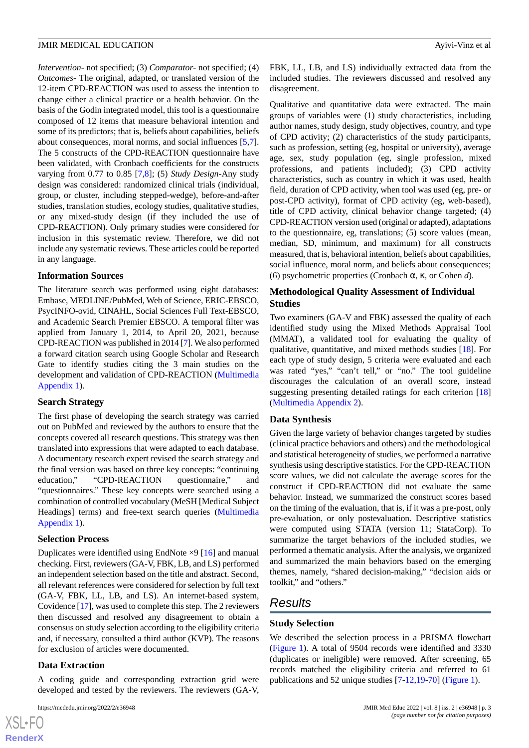*Intervention-* not specified; (3) *Comparator*- not specified; (4) *Outcomes*- The original, adapted, or translated version of the 12-item CPD-REACTION was used to assess the intention to change either a clinical practice or a health behavior. On the basis of the Godin integrated model, this tool is a questionnaire composed of 12 items that measure behavioral intention and some of its predictors; that is, beliefs about capabilities, beliefs about consequences, moral norms, and social influences [\[5](#page-12-4),[7\]](#page-13-1). The 5 constructs of the CPD-REACTION questionnaire have been validated, with Cronbach coefficients for the constructs varying from 0.77 to 0.85 [\[7](#page-13-1),[8\]](#page-13-2); (5) *Study Design*-Any study design was considered: randomized clinical trials (individual, group, or cluster, including stepped-wedge), before-and-after studies, translation studies, ecology studies, qualitative studies, or any mixed-study design (if they included the use of CPD-REACTION). Only primary studies were considered for inclusion in this systematic review. Therefore, we did not include any systematic reviews. These articles could be reported in any language.

## **Information Sources**

The literature search was performed using eight databases: Embase, MEDLINE/PubMed, Web of Science, ERIC-EBSCO, PsycINFO-ovid, CINAHL, Social Sciences Full Text-EBSCO, and Academic Search Premier EBSCO. A temporal filter was applied from January 1, 2014, to April 20, 2021, because CPD-REACTION was published in 2014 [\[7](#page-13-1)]. We also performed a forward citation search using Google Scholar and Research Gate to identify studies citing the 3 main studies on the development and validation of CPD-REACTION ([Multimedia](#page-12-5) [Appendix 1\)](#page-12-5).

## **Search Strategy**

The first phase of developing the search strategy was carried out on PubMed and reviewed by the authors to ensure that the concepts covered all research questions. This strategy was then translated into expressions that were adapted to each database. A documentary research expert revised the search strategy and the final version was based on three key concepts: "continuing education," "CPD-REACTION questionnaire," and "questionnaires." These key concepts were searched using a combination of controlled vocabulary (MeSH [Medical Subject Headings] terms) and free-text search queries ([Multimedia](#page-12-5) [Appendix 1\)](#page-12-5).

## **Selection Process**

Duplicates were identified using EndNote  $\times$ 9 [\[16](#page-13-8)] and manual checking. First, reviewers (GA-V, FBK, LB, and LS) performed an independent selection based on the title and abstract. Second, all relevant references were considered for selection by full text (GA-V, FBK, LL, LB, and LS). An internet-based system, Covidence [\[17\]](#page-13-9), was used to complete this step. The 2 reviewers then discussed and resolved any disagreement to obtain a consensus on study selection according to the eligibility criteria and, if necessary, consulted a third author (KVP). The reasons for exclusion of articles were documented.

## **Data Extraction**

[XSL](http://www.w3.org/Style/XSL)•FO **[RenderX](http://www.renderx.com/)**

A coding guide and corresponding extraction grid were developed and tested by the reviewers. The reviewers (GA-V,

FBK, LL, LB, and LS) individually extracted data from the included studies. The reviewers discussed and resolved any disagreement.

Qualitative and quantitative data were extracted. The main groups of variables were (1) study characteristics, including author names, study design, study objectives, country, and type of CPD activity; (2) characteristics of the study participants, such as profession, setting (eg, hospital or university), average age, sex, study population (eg, single profession, mixed professions, and patients included); (3) CPD activity characteristics, such as country in which it was used, health field, duration of CPD activity, when tool was used (eg, pre- or post-CPD activity), format of CPD activity (eg, web-based), title of CPD activity, clinical behavior change targeted; (4) CPD-REACTION version used (original or adapted), adaptations to the questionnaire, eg, translations; (5) score values (mean, median, SD, minimum, and maximum) for all constructs measured, that is, behavioral intention, beliefs about capabilities, social influence, moral norm, and beliefs about consequences; (6) psychometric properties (Cronbach α, κ, or Cohen *d*).

## **Methodological Quality Assessment of Individual Studies**

Two examiners (GA-V and FBK) assessed the quality of each identified study using the Mixed Methods Appraisal Tool (MMAT), a validated tool for evaluating the quality of qualitative, quantitative, and mixed methods studies [\[18](#page-13-10)]. For each type of study design, 5 criteria were evaluated and each was rated "yes," "can't tell," or "no." The tool guideline discourages the calculation of an overall score, instead suggesting presenting detailed ratings for each criterion [\[18](#page-13-10)] ([Multimedia Appendix 2](#page-12-6)).

## **Data Synthesis**

Given the large variety of behavior changes targeted by studies (clinical practice behaviors and others) and the methodological and statistical heterogeneity of studies, we performed a narrative synthesis using descriptive statistics. For the CPD-REACTION score values, we did not calculate the average scores for the construct if CPD-REACTION did not evaluate the same behavior. Instead, we summarized the construct scores based on the timing of the evaluation, that is, if it was a pre-post, only pre-evaluation, or only postevaluation. Descriptive statistics were computed using STATA (version 11; StataCorp). To summarize the target behaviors of the included studies, we performed a thematic analysis. After the analysis, we organized and summarized the main behaviors based on the emerging themes, namely, "shared decision-making," "decision aids or toolkit," and "others."

## *Results*

## **Study Selection**

We described the selection process in a PRISMA flowchart ([Figure 1\)](#page-3-0). A total of 9504 records were identified and 3330 (duplicates or ineligible) were removed. After screening, 65 records matched the eligibility criteria and referred to 61 publications and 52 unique studies [[7-](#page-13-1)[12](#page-13-4),[19-](#page-13-11)[70\]](#page-16-0) [\(Figure 1\)](#page-3-0).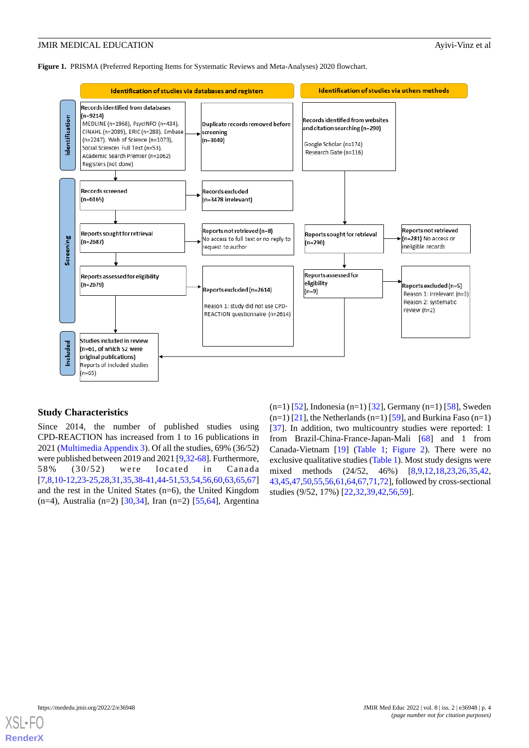<span id="page-3-0"></span>**Figure 1.** PRISMA (Preferred Reporting Items for Systematic Reviews and Meta-Analyses) 2020 flowchart.



## **Study Characteristics**

Since 2014, the number of published studies using CPD-REACTION has increased from 1 to 16 publications in 2021 ([Multimedia Appendix 3\)](#page-12-7). Of all the studies, 69% (36/52) were published between 2019 and 2021 [[9,](#page-13-3)[32](#page-14-0)[-68](#page-16-1)]. Furthermore, 58% (30/52) were located in Canada [[7](#page-13-1)[,8](#page-13-2),[10](#page-13-12)[-12](#page-13-4),[23](#page-13-13)[-25](#page-13-14),[28](#page-14-1),[31,](#page-14-2)[35](#page-14-3),[38-](#page-14-4)[41](#page-14-5),[44-](#page-14-6)[51](#page-15-0),[53](#page-15-1)[,54](#page-15-2),[56](#page-15-3)[,60](#page-15-4)[,63](#page-15-5),[65,](#page-15-6)[67](#page-16-2)] and the rest in the United States (n=6), the United Kingdom (n=4), Australia (n=2) [[30](#page-14-7)[,34](#page-14-8)], Iran (n=2) [\[55](#page-15-7),[64\]](#page-15-8), Argentina

 $(n=1)$  [\[52](#page-15-9)], Indonesia (n=1) [\[32](#page-14-0)], Germany (n=1) [\[58](#page-15-10)], Sweden  $(n=1)$  [\[21](#page-13-15)], the Netherlands  $(n=1)$  [\[59](#page-15-11)], and Burkina Faso  $(n=1)$ [[37\]](#page-14-9). In addition, two multicountry studies were reported: 1 from Brazil-China-France-Japan-Mali [\[68](#page-16-1)] and 1 from Canada-Vietnam [\[19](#page-13-11)] [\(Table 1;](#page-4-0) [Figure 2](#page-6-0)). There were no exclusive qualitative studies [\(Table 1\)](#page-4-0). Most study designs were mixed methods (24/52, 46%) [[8](#page-13-2)[,9](#page-13-3),[12](#page-13-4)[,18](#page-13-10),[23](#page-13-13)[,26](#page-14-10),[35](#page-14-3)[,42](#page-14-11), [43,](#page-14-12)[45](#page-14-13)[,47](#page-15-12),[50,](#page-15-13)[55](#page-15-7),[56,](#page-15-3)[61](#page-15-14)[,64](#page-15-8),[67,](#page-16-2)[71](#page-16-3),[72](#page-16-4)], followed by cross-sectional studies (9/52, 17%) [[22,](#page-13-16)[32](#page-14-0)[,39](#page-14-14)[,42](#page-14-11),[56,](#page-15-3)[59](#page-15-11)].

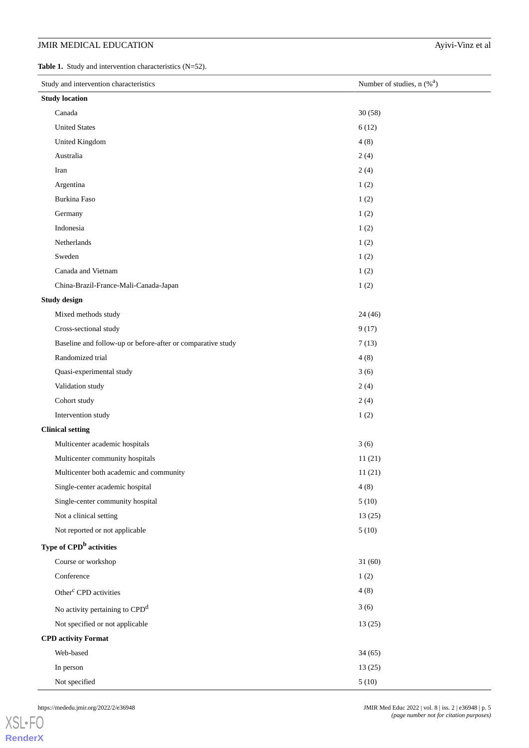<span id="page-4-0"></span>**Table 1.** Study and intervention characteristics (N=52).

| Study and intervention characteristics                      | Number of studies, $n$ (% <sup>a</sup> ) |  |  |  |
|-------------------------------------------------------------|------------------------------------------|--|--|--|
| <b>Study location</b>                                       |                                          |  |  |  |
| Canada                                                      | 30(58)                                   |  |  |  |
| <b>United States</b>                                        | 6(12)                                    |  |  |  |
| United Kingdom                                              | 4(8)                                     |  |  |  |
| Australia                                                   | 2(4)                                     |  |  |  |
| Iran                                                        | 2(4)                                     |  |  |  |
| Argentina                                                   | 1(2)                                     |  |  |  |
| Burkina Faso                                                | 1(2)                                     |  |  |  |
| Germany                                                     | 1(2)                                     |  |  |  |
| Indonesia                                                   | 1(2)                                     |  |  |  |
| Netherlands                                                 | 1(2)                                     |  |  |  |
| Sweden                                                      | 1(2)                                     |  |  |  |
| Canada and Vietnam                                          | 1(2)                                     |  |  |  |
| China-Brazil-France-Mali-Canada-Japan                       | 1(2)                                     |  |  |  |
| <b>Study design</b>                                         |                                          |  |  |  |
| Mixed methods study                                         | 24(46)                                   |  |  |  |
| Cross-sectional study                                       | 9(17)                                    |  |  |  |
| Baseline and follow-up or before-after or comparative study | 7(13)                                    |  |  |  |
| Randomized trial                                            | 4(8)                                     |  |  |  |
| Quasi-experimental study                                    | 3(6)                                     |  |  |  |
| Validation study                                            | 2(4)                                     |  |  |  |
| Cohort study                                                | 2(4)                                     |  |  |  |
| Intervention study                                          | 1(2)                                     |  |  |  |
| <b>Clinical setting</b>                                     |                                          |  |  |  |
| Multicenter academic hospitals                              | 3(6)                                     |  |  |  |
| Multicenter community hospitals                             | 11(21)                                   |  |  |  |
| Multicenter both academic and community                     | 11(21)                                   |  |  |  |
| Single-center academic hospital                             | 4(8)                                     |  |  |  |
| Single-center community hospital                            | 5(10)                                    |  |  |  |
| Not a clinical setting                                      | 13(25)                                   |  |  |  |
| Not reported or not applicable                              | 5(10)                                    |  |  |  |
| Type of CPD <sup>b</sup> activities                         |                                          |  |  |  |
| Course or workshop                                          | 31(60)                                   |  |  |  |
| Conference                                                  | 1(2)                                     |  |  |  |
| Other <sup>c</sup> CPD activities                           | 4(8)                                     |  |  |  |
| No activity pertaining to CPD <sup>d</sup>                  | 3(6)                                     |  |  |  |
| Not specified or not applicable                             | 13(25)                                   |  |  |  |
| <b>CPD</b> activity Format                                  |                                          |  |  |  |
| Web-based                                                   | 34(65)                                   |  |  |  |
| In person                                                   | 13(25)                                   |  |  |  |
| Not specified                                               | 5(10)                                    |  |  |  |

[XSL](http://www.w3.org/Style/XSL)•FO **[RenderX](http://www.renderx.com/)**

https://mededu.jmir.org/2022/2/e36948 JMIR Med Educ 2022 | vol. 8 | iss. 2 | e36948 | p. 5 *(page number not for citation purposes)*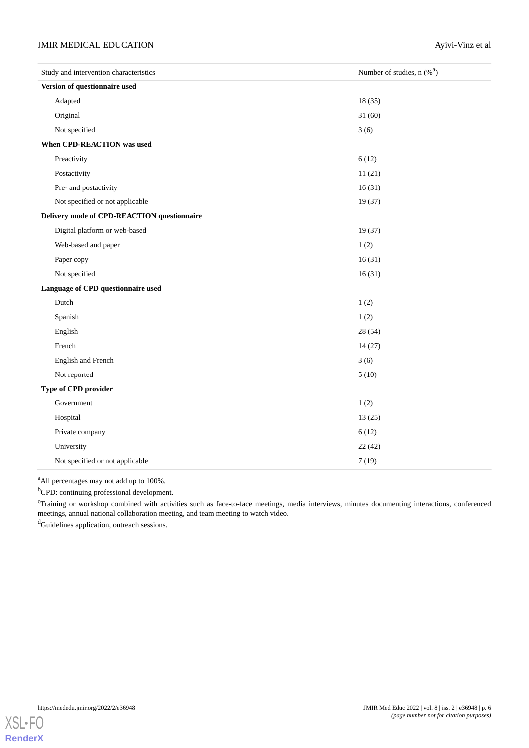| Study and intervention characteristics      | Number of studies, $n$ (% <sup>a</sup> ) |  |  |  |
|---------------------------------------------|------------------------------------------|--|--|--|
| Version of questionnaire used               |                                          |  |  |  |
| Adapted                                     | 18(35)                                   |  |  |  |
| Original                                    | 31(60)                                   |  |  |  |
| Not specified                               | 3(6)                                     |  |  |  |
| When CPD-REACTION was used                  |                                          |  |  |  |
| Preactivity                                 | 6(12)                                    |  |  |  |
| Postactivity                                | 11(21)                                   |  |  |  |
| Pre- and postactivity                       | 16(31)                                   |  |  |  |
| Not specified or not applicable             | 19(37)                                   |  |  |  |
| Delivery mode of CPD-REACTION questionnaire |                                          |  |  |  |
| Digital platform or web-based               | 19(37)                                   |  |  |  |
| Web-based and paper                         | 1(2)                                     |  |  |  |
| Paper copy                                  | 16(31)                                   |  |  |  |
| Not specified                               | 16(31)                                   |  |  |  |
| Language of CPD questionnaire used          |                                          |  |  |  |
| Dutch                                       | 1(2)                                     |  |  |  |
| Spanish                                     | 1(2)                                     |  |  |  |
| English                                     | 28 (54)                                  |  |  |  |
| French                                      | 14(27)                                   |  |  |  |
| English and French                          | 3(6)                                     |  |  |  |
| Not reported                                | 5(10)                                    |  |  |  |
| Type of CPD provider                        |                                          |  |  |  |
| Government                                  | 1(2)                                     |  |  |  |
| Hospital                                    | 13(25)                                   |  |  |  |
| Private company                             | 6(12)                                    |  |  |  |
| University                                  | 22(42)                                   |  |  |  |
| Not specified or not applicable             | 7(19)                                    |  |  |  |

<sup>a</sup>All percentages may not add up to 100%.

<sup>b</sup>CPD: continuing professional development.

<sup>c</sup>Training or workshop combined with activities such as face-to-face meetings, media interviews, minutes documenting interactions, conferenced meetings, annual national collaboration meeting, and team meeting to watch video.

<sup>d</sup>Guidelines application, outreach sessions.

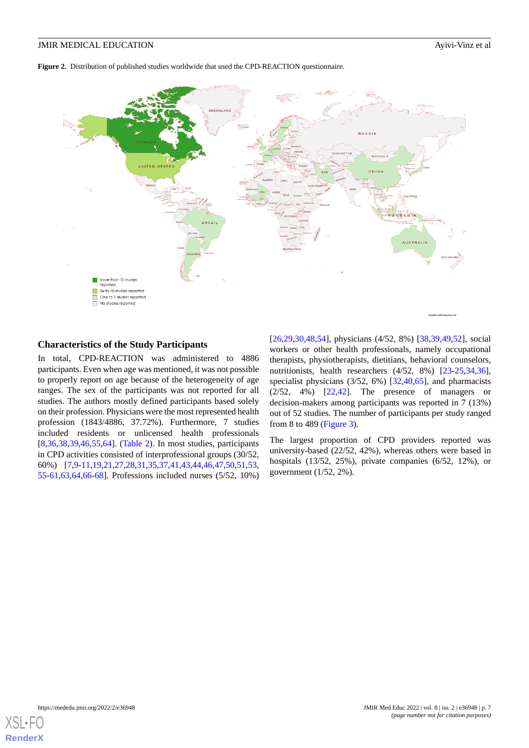<span id="page-6-0"></span>**Figure 2.** Distribution of published studies worldwide that used the CPD-REACTION questionnaire.



## **Characteristics of the Study Participants**

In total, CPD-REACTION was administered to 4886 participants. Even when age was mentioned, it was not possible to properly report on age because of the heterogeneity of age ranges. The sex of the participants was not reported for all studies. The authors mostly defined participants based solely on their profession. Physicians were the most represented health profession (1843/4886, 37.72%). Furthermore, 7 studies included residents or unlicensed health professionals [[8](#page-13-2)[,36](#page-14-15),[38](#page-14-4)[,39](#page-14-14),[46](#page-14-16)[,55](#page-15-7),[64\]](#page-15-8). [\(Table 2](#page-7-0)). In most studies, participants in CPD activities consisted of interprofessional groups (30/52, 60%) [[7](#page-13-1)[,9](#page-13-3)-[11,](#page-13-17)[19](#page-13-11),[21,](#page-13-15)[27](#page-14-17),[28,](#page-14-1)[31](#page-14-2),[35,](#page-14-3)[37](#page-14-9),[41,](#page-14-5)[43](#page-14-12),[44,](#page-14-6)[46](#page-14-16),[47,](#page-15-12)[50](#page-15-13),[51,](#page-15-0)[53](#page-15-1), [55](#page-15-7)-[61](#page-15-14)[,63](#page-15-5),[64](#page-15-8)[,66](#page-15-15)-[68\]](#page-16-1). Professions included nurses (5/52, 10%)

[[26,](#page-14-10)[29,](#page-14-18)[30](#page-14-7)[,48](#page-15-16),[54\]](#page-15-2), physicians (4/52, 8%) [[38,](#page-14-4)[39](#page-14-14),[49,](#page-15-17)[52](#page-15-9)], social workers or other health professionals, namely occupational therapists, physiotherapists, dietitians, behavioral counselors, nutritionists, health researchers (4/52, 8%) [[23-](#page-13-13)[25](#page-13-14)[,34](#page-14-8),[36\]](#page-14-15), specialist physicians (3/52, 6%) [\[32](#page-14-0), 40, 65], and pharmacists (2/52, 4%) [[22,](#page-13-16)[42](#page-14-11)]. The presence of managers or decision-makers among participants was reported in 7 (13%) out of 52 studies. The number of participants per study ranged from 8 to 489 [\(Figure 3\)](#page-7-1).

The largest proportion of CPD providers reported was university-based (22/52, 42%), whereas others were based in hospitals (13/52, 25%), private companies (6/52, 12%), or government (1/52, 2%).

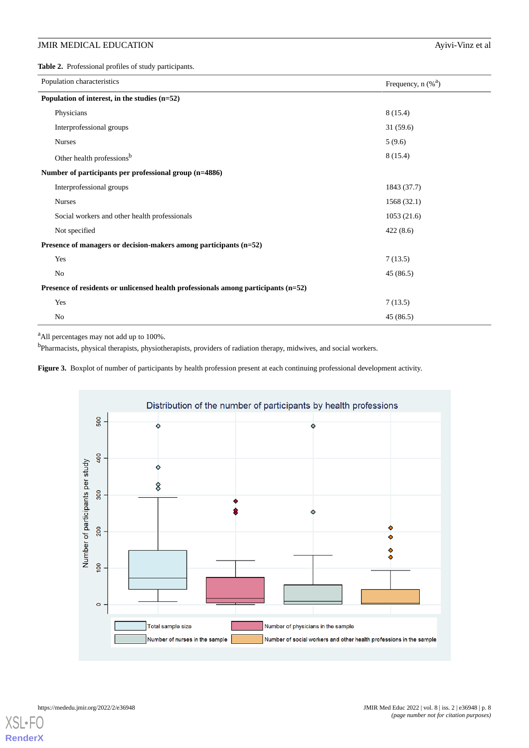<span id="page-7-0"></span>**Table 2.** Professional profiles of study participants.

| Population characteristics                                                         | Frequency, $n$ (% <sup>a</sup> ) |  |  |  |  |
|------------------------------------------------------------------------------------|----------------------------------|--|--|--|--|
| Population of interest, in the studies $(n=52)$                                    |                                  |  |  |  |  |
| Physicians                                                                         | 8(15.4)                          |  |  |  |  |
| Interprofessional groups                                                           | 31(59.6)                         |  |  |  |  |
| <b>Nurses</b>                                                                      | 5(9.6)                           |  |  |  |  |
| Other health professions <sup>b</sup>                                              | 8(15.4)                          |  |  |  |  |
| Number of participants per professional group (n=4886)                             |                                  |  |  |  |  |
| Interprofessional groups                                                           | 1843 (37.7)                      |  |  |  |  |
| <b>Nurses</b>                                                                      | 1568 (32.1)                      |  |  |  |  |
| Social workers and other health professionals                                      | 1053(21.6)                       |  |  |  |  |
| Not specified                                                                      | 422(8.6)                         |  |  |  |  |
| Presence of managers or decision-makers among participants (n=52)                  |                                  |  |  |  |  |
| Yes                                                                                | 7(13.5)                          |  |  |  |  |
| No                                                                                 | 45(86.5)                         |  |  |  |  |
| Presence of residents or unlicensed health professionals among participants (n=52) |                                  |  |  |  |  |
| Yes                                                                                | 7(13.5)                          |  |  |  |  |
| No                                                                                 | 45(86.5)                         |  |  |  |  |

<span id="page-7-1"></span><sup>a</sup>All percentages may not add up to 100%.

<sup>b</sup>Pharmacists, physical therapists, physiotherapists, providers of radiation therapy, midwives, and social workers.

Figure 3. Boxplot of number of participants by health profession present at each continuing professional development activity.



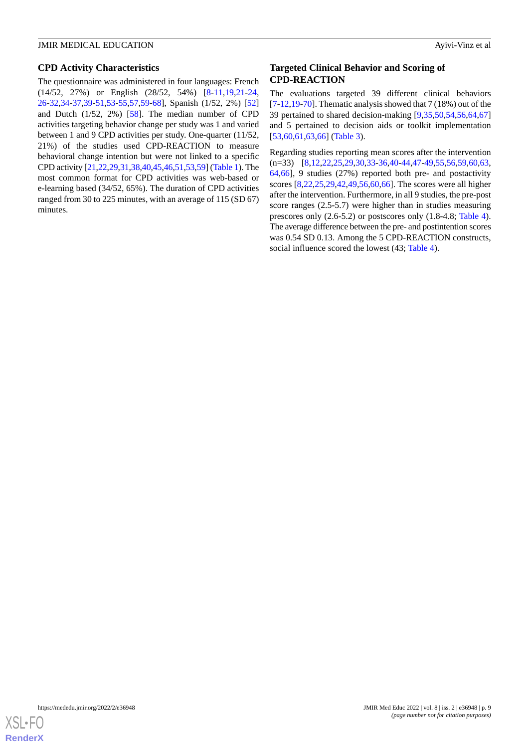## **CPD Activity Characteristics**

The questionnaire was administered in four languages: French (14/52, 27%) or English (28/52, 54%) [\[8-](#page-13-2)[11](#page-13-17)[,19](#page-13-11),[21-](#page-13-15)[24](#page-13-18), [26](#page-14-10)-[32](#page-14-0)[,34](#page-14-8)-[37,](#page-14-9)[39](#page-14-14)-[51,](#page-15-0)[53](#page-15-1)[-55](#page-15-7),[57](#page-15-18)[,59](#page-15-11)-[68\]](#page-16-1), Spanish (1/52, 2%) [\[52](#page-15-9)] and Dutch (1/52, 2%) [\[58](#page-15-10)]. The median number of CPD activities targeting behavior change per study was 1 and varied between 1 and 9 CPD activities per study. One-quarter (11/52, 21%) of the studies used CPD-REACTION to measure behavioral change intention but were not linked to a specific CPD activity [\[21](#page-13-15),[22](#page-13-16),[29](#page-14-18)[,31](#page-14-2),[38,](#page-14-4)[40](#page-14-19)[,45](#page-14-13),[46](#page-14-16),[51](#page-15-0)[,53](#page-15-1),[59\]](#page-15-11) [\(Table 1\)](#page-4-0). The most common format for CPD activities was web-based or e-learning based (34/52, 65%). The duration of CPD activities ranged from 30 to 225 minutes, with an average of 115 (SD 67) minutes.

## **Targeted Clinical Behavior and Scoring of CPD-REACTION**

The evaluations targeted 39 different clinical behaviors  $[7-12,19-70]$  $[7-12,19-70]$  $[7-12,19-70]$  $[7-12,19-70]$  $[7-12,19-70]$  $[7-12,19-70]$  $[7-12,19-70]$ . Thematic analysis showed that  $7(18%)$  out of the 39 pertained to shared decision-making [\[9](#page-13-3),[35](#page-14-3)[,50](#page-15-13),[54](#page-15-2)[,56](#page-15-3),[64](#page-15-8)[,67](#page-16-2)] and 5 pertained to decision aids or toolkit implementation [[53,](#page-15-1)[60,](#page-15-4)[61](#page-15-14)[,63](#page-15-5),[66\]](#page-15-15) [\(Table 3\)](#page-9-0).

Regarding studies reporting mean scores after the intervention (n=33) [[8](#page-13-2)[,12](#page-13-4),[22](#page-13-16)[,25](#page-13-14),[29](#page-14-18)[,30](#page-14-7),[33-](#page-14-20)[36](#page-14-15),[40-](#page-14-19)[44](#page-14-6)[,47](#page-15-12)-[49](#page-15-17)[,55](#page-15-7),[56](#page-15-3)[,59](#page-15-11),[60](#page-15-4)[,63](#page-15-5), [64,](#page-15-8)[66](#page-15-15)], 9 studies (27%) reported both pre- and postactivity scores [\[8](#page-13-2),[22](#page-13-16)[,25](#page-13-14),[29](#page-14-18)[,42](#page-14-11),[49](#page-15-17)[,56](#page-15-3),[60](#page-15-4)[,66](#page-15-15)]. The scores were all higher after the intervention. Furthermore, in all 9 studies, the pre-post score ranges (2.5-5.7) were higher than in studies measuring prescores only (2.6-5.2) or postscores only (1.8-4.8; [Table 4\)](#page-10-0). The average difference between the pre- and postintention scores was 0.54 SD 0.13. Among the 5 CPD-REACTION constructs, social influence scored the lowest (43; [Table 4\)](#page-10-0).

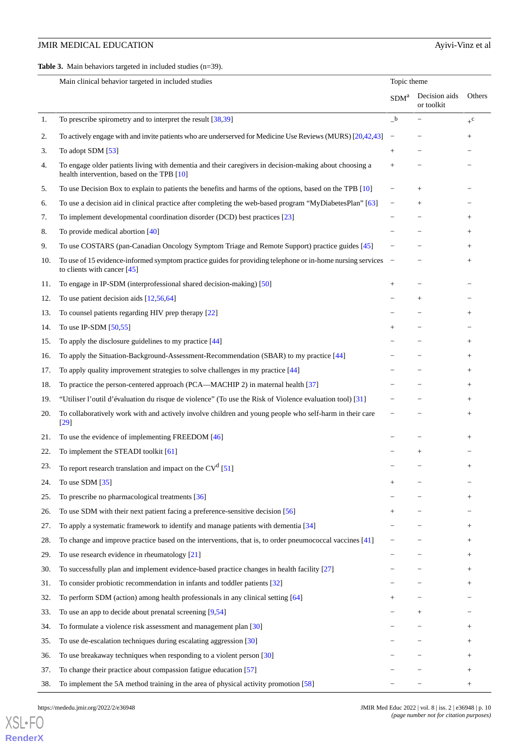<span id="page-9-0"></span>**Table 3.** Main behaviors targeted in included studies (n=39).

|     | Topic theme<br>Main clinical behavior targeted in included studies                                                                                   |                  |                             |                  |
|-----|------------------------------------------------------------------------------------------------------------------------------------------------------|------------------|-----------------------------|------------------|
|     |                                                                                                                                                      | SDM <sup>a</sup> | Decision aids<br>or toolkit | Others           |
| 1.  | To prescribe spirometry and to interpret the result $[38,39]$                                                                                        | $\_^{\rm b}$     |                             | $+$ <sup>c</sup> |
| 2.  | To actively engage with and invite patients who are underserved for Medicine Use Reviews (MURS) [20,42,43]                                           |                  |                             | $^{+}$           |
| 3.  | To adopt SDM [53]                                                                                                                                    | $^{+}$           |                             |                  |
| 4.  | To engage older patients living with dementia and their caregivers in decision-making about choosing a<br>health intervention, based on the TPB [10] | $^{+}$           |                             |                  |
| 5.  | To use Decision Box to explain to patients the benefits and harms of the options, based on the TPB [10]                                              |                  | $^{+}$                      |                  |
| 6.  | To use a decision aid in clinical practice after completing the web-based program "MyDiabetesPlan" [63]                                              |                  | $^{+}$                      |                  |
| 7.  | To implement developmental coordination disorder (DCD) best practices [23]                                                                           |                  |                             | $^{+}$           |
| 8.  | To provide medical abortion [40]                                                                                                                     |                  |                             | $^{+}$           |
| 9.  | To use COSTARS (pan-Canadian Oncology Symptom Triage and Remote Support) practice guides [45]                                                        |                  |                             | $^{+}$           |
| 10. | To use of 15 evidence-informed symptom practice guides for providing telephone or in-home nursing services<br>to clients with cancer $[45]$          | $\equiv$         |                             | $^{+}$           |
| 11. | To engage in IP-SDM (interprofessional shared decision-making) [50]                                                                                  | $^{+}$           |                             |                  |
| 12. | To use patient decision aids $[12,56,64]$                                                                                                            |                  | $^{+}$                      |                  |
| 13. | To counsel patients regarding HIV prep therapy [22]                                                                                                  |                  |                             | $^{+}$           |
| 14. | To use IP-SDM $[50,55]$                                                                                                                              | $^{+}$           |                             |                  |
| 15. | To apply the disclosure guidelines to my practice $[44]$                                                                                             |                  |                             | $^{+}$           |
| 16. | To apply the Situation-Background-Assessment-Recommendation (SBAR) to my practice [44]                                                               |                  |                             | $^{+}$           |
| 17. | To apply quality improvement strategies to solve challenges in my practice [44]                                                                      |                  |                             | $^{+}$           |
| 18. | To practice the person-centered approach (PCA—MACHIP 2) in maternal health [37]                                                                      |                  |                             | $^{+}$           |
| 19. | "Utiliser l'outil d'évaluation du risque de violence" (To use the Risk of Violence evaluation tool) [31]                                             |                  |                             | $^{+}$           |
| 20. | To collaboratively work with and actively involve children and young people who self-harm in their care<br>$[29]$                                    |                  |                             | $^{+}$           |
| 21. | To use the evidence of implementing FREEDOM [46]                                                                                                     |                  |                             | $^{+}$           |
| 22. | To implement the STEADI toolkit [61]                                                                                                                 |                  | $^{+}$                      |                  |
| 23. | To report research translation and impact on the $CVd$ [51]                                                                                          |                  |                             | $^{+}$           |
| 24. | To use SDM $\left[35\right]$                                                                                                                         | $^+$             |                             |                  |
| 25. | To prescribe no pharmacological treatments [36]                                                                                                      |                  |                             | $^{+}$           |
| 26. | To use SDM with their next patient facing a preference-sensitive decision [56]                                                                       |                  |                             |                  |
| 27. | To apply a systematic framework to identify and manage patients with dementia [34]                                                                   |                  |                             | $^+$             |
| 28. | To change and improve practice based on the interventions, that is, to order pneumococcal vaccines [41]                                              |                  |                             | $^+$             |
| 29. | To use research evidence in rheumatology [21]                                                                                                        |                  |                             | $^{+}$           |
| 30. | To successfully plan and implement evidence-based practice changes in health facility [27]                                                           |                  |                             | $^{+}$           |
| 31. | To consider probiotic recommendation in infants and toddler patients [32]                                                                            |                  |                             | $^+$             |
| 32. | To perform SDM (action) among health professionals in any clinical setting [64]                                                                      |                  |                             |                  |
| 33. | To use an app to decide about prenatal screening $[9,54]$                                                                                            |                  | $^{+}$                      |                  |
| 34. | To formulate a violence risk assessment and management plan [30]                                                                                     |                  |                             | $^{+}$           |
| 35. | To use de-escalation techniques during escalating aggression [30]                                                                                    |                  |                             | $^{+}$           |
| 36. | To use breakaway techniques when responding to a violent person [30]                                                                                 |                  |                             | $\! +$           |
| 37. | To change their practice about compassion fatigue education [57]                                                                                     |                  |                             | $^{+}$           |
| 38. | To implement the 5A method training in the area of physical activity promotion [58]                                                                  |                  |                             | $\! + \!\!\!\!$  |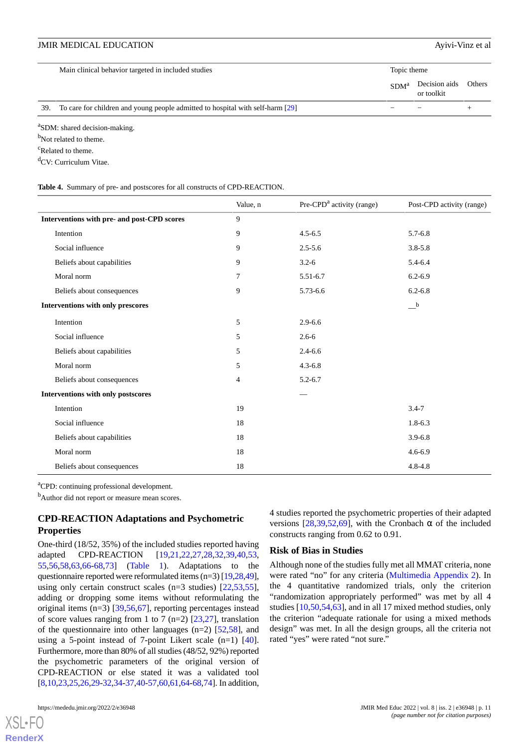| Decision aids Others<br>SDM <sup>a</sup><br>or toolkit                                |  |
|---------------------------------------------------------------------------------------|--|
|                                                                                       |  |
| To care for children and young people admitted to hospital with self-harm [29]<br>39. |  |

<sup>a</sup>SDM: shared decision-making.

<sup>b</sup>Not related to theme.

<sup>c</sup>Related to theme.

<span id="page-10-0"></span><sup>d</sup>CV: Curriculum Vitae.

**Table 4.** Summary of pre- and postscores for all constructs of CPD-REACTION.

|                                             | Value, n | $Pre-CPDa$ activity (range) | Post-CPD activity (range)               |
|---------------------------------------------|----------|-----------------------------|-----------------------------------------|
| Interventions with pre- and post-CPD scores | 9        |                             |                                         |
| Intention                                   | 9        | $4.5 - 6.5$                 | $5.7 - 6.8$                             |
| Social influence                            | 9        | $2.5 - 5.6$                 | $3.8 - 5.8$                             |
| Beliefs about capabilities                  | 9        | $3.2 - 6$                   | 5.4-6.4                                 |
| Moral norm                                  | 7        | $5.51 - 6.7$                | $6.2 - 6.9$                             |
| Beliefs about consequences                  | 9        | 5.73-6.6                    | $6.2 - 6.8$                             |
| Interventions with only prescores           |          |                             | $\overline{\phantom{a}}^{\phantom{a}b}$ |
| Intention                                   | 5        | $2.9 - 6.6$                 |                                         |
| Social influence                            | 5        | $2.6 - 6$                   |                                         |
| Beliefs about capabilities                  | 5        | $2.4 - 6.6$                 |                                         |
| Moral norm                                  | 5        | $4.3 - 6.8$                 |                                         |
| Beliefs about consequences                  | 4        | $5.2 - 6.7$                 |                                         |
| Interventions with only postscores          |          |                             |                                         |
| Intention                                   | 19       |                             | $3.4 - 7$                               |
| Social influence                            | 18       |                             | $1.8 - 6.3$                             |
| Beliefs about capabilities                  | 18       |                             | $3.9 - 6.8$                             |
| Moral norm                                  | 18       |                             | $4.6 - 6.9$                             |
| Beliefs about consequences                  | 18       |                             | $4.8 - 4.8$                             |

<sup>a</sup>CPD: continuing professional development.

<sup>b</sup>Author did not report or measure mean scores.

## **CPD-REACTION Adaptations and Psychometric Properties**

One-third (18/52, 35%) of the included studies reported having adapted CPD-REACTION [\[19](#page-13-11),[21,](#page-13-15)[22](#page-13-16),[27,](#page-14-17)[28](#page-14-1),[32,](#page-14-0)[39](#page-14-14),[40,](#page-14-19)[53](#page-15-1), [55](#page-15-7)[,56](#page-15-3),[58,](#page-15-10)[63](#page-15-5)[,66](#page-15-15)-[68](#page-16-1)[,73](#page-16-5)] [\(Table 1](#page-4-0)). Adaptations to the questionnaire reported were reformulated items (n=3) [\[19](#page-13-11)[,28](#page-14-1)[,49\]](#page-15-17), using only certain construct scales ( $n=3$  studies) [ $22,53,55$  $22,53,55$  $22,53,55$ ], adding or dropping some items without reformulating the original items (n=3) [[39](#page-14-14)[,56](#page-15-3),[67\]](#page-16-2), reporting percentages instead of score values ranging from 1 to 7 (n=2) [\[23](#page-13-13)[,27](#page-14-17)], translation of the questionnaire into other languages  $(n=2)$  [\[52](#page-15-9),[58\]](#page-15-10), and using a 5-point instead of 7-point Likert scale  $(n=1)$  [[40\]](#page-14-19). Furthermore, more than 80% of all studies (48/52, 92%) reported the psychometric parameters of the original version of CPD-REACTION or else stated it was a validated tool [[8,](#page-13-2)[10](#page-13-12),[23](#page-13-13),[25,](#page-13-14)[26](#page-14-10)[,29](#page-14-18)-[32,](#page-14-0)[34](#page-14-8)[-37](#page-14-9),[40](#page-14-19)-[57](#page-15-18)[,60](#page-15-4)[,61](#page-15-14),[64-](#page-15-8)[68,](#page-16-1)[74](#page-16-6)]. In addition,

versions  $[28.39.52.69]$  $[28.39.52.69]$  $[28.39.52.69]$  $[28.39.52.69]$  $[28.39.52.69]$ , with the Cronbach  $\alpha$  of the included constructs ranging from 0.62 to 0.91.

4 studies reported the psychometric properties of their adapted

## **Risk of Bias in Studies**

Although none of the studies fully met all MMAT criteria, none were rated "no" for any criteria [\(Multimedia Appendix 2\)](#page-12-6). In the 4 quantitative randomized trials, only the criterion "randomization appropriately performed" was met by all 4 studies [[10](#page-13-12)[,50](#page-15-13),[54](#page-15-2)[,63](#page-15-5)], and in all 17 mixed method studies, only the criterion "adequate rationale for using a mixed methods design" was met. In all the design groups, all the criteria not rated "yes" were rated "not sure."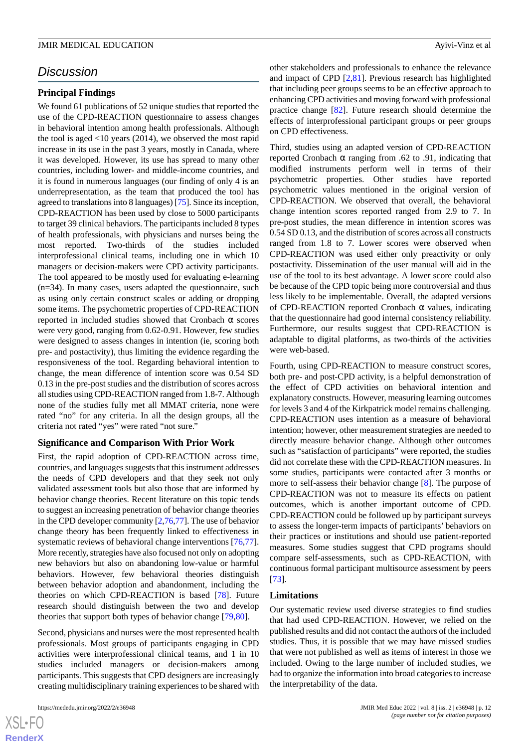## *Discussion*

## **Principal Findings**

We found 61 publications of 52 unique studies that reported the use of the CPD-REACTION questionnaire to assess changes in behavioral intention among health professionals. Although the tool is aged <10 years (2014), we observed the most rapid increase in its use in the past 3 years, mostly in Canada, where it was developed. However, its use has spread to many other countries, including lower- and middle-income countries, and it is found in numerous languages (our finding of only 4 is an underrepresentation, as the team that produced the tool has agreed to translations into 8 languages) [[75\]](#page-16-8). Since its inception, CPD-REACTION has been used by close to 5000 participants to target 39 clinical behaviors. The participants included 8 types of health professionals, with physicians and nurses being the most reported. Two-thirds of the studies included interprofessional clinical teams, including one in which 10 managers or decision-makers were CPD activity participants. The tool appeared to be mostly used for evaluating e-learning (n=34). In many cases, users adapted the questionnaire, such as using only certain construct scales or adding or dropping some items. The psychometric properties of CPD-REACTION reported in included studies showed that Cronbach α scores were very good, ranging from 0.62-0.91. However, few studies were designed to assess changes in intention (ie, scoring both pre- and postactivity), thus limiting the evidence regarding the responsiveness of the tool. Regarding behavioral intention to change, the mean difference of intention score was 0.54 SD 0.13 in the pre-post studies and the distribution of scores across all studies using CPD-REACTION ranged from 1.8-7. Although none of the studies fully met all MMAT criteria, none were rated "no" for any criteria. In all the design groups, all the criteria not rated "yes" were rated "not sure."

## **Significance and Comparison With Prior Work**

First, the rapid adoption of CPD-REACTION across time, countries, and languages suggests that this instrument addresses the needs of CPD developers and that they seek not only validated assessment tools but also those that are informed by behavior change theories. Recent literature on this topic tends to suggest an increasing penetration of behavior change theories in the CPD developer community [[2,](#page-12-1)[76](#page-16-9)[,77](#page-16-10)]. The use of behavior change theory has been frequently linked to effectiveness in systematic reviews of behavioral change interventions [\[76](#page-16-9),[77\]](#page-16-10). More recently, strategies have also focused not only on adopting new behaviors but also on abandoning low-value or harmful behaviors. However, few behavioral theories distinguish between behavior adoption and abandonment, including the theories on which CPD-REACTION is based [[78\]](#page-16-11). Future research should distinguish between the two and develop theories that support both types of behavior change [[79](#page-16-12)[,80](#page-16-13)].

Second, physicians and nurses were the most represented health professionals. Most groups of participants engaging in CPD activities were interprofessional clinical teams, and 1 in 10 studies included managers or decision-makers among participants. This suggests that CPD designers are increasingly creating multidisciplinary training experiences to be shared with

 $XSI - F($ **[RenderX](http://www.renderx.com/)** other stakeholders and professionals to enhance the relevance and impact of CPD [\[2](#page-12-1),[81\]](#page-16-14). Previous research has highlighted that including peer groups seems to be an effective approach to enhancing CPD activities and moving forward with professional practice change [[82\]](#page-16-15). Future research should determine the effects of interprofessional participant groups or peer groups on CPD effectiveness.

Third, studies using an adapted version of CPD-REACTION reported Cronbach α ranging from .62 to .91, indicating that modified instruments perform well in terms of their psychometric properties. Other studies have reported psychometric values mentioned in the original version of CPD-REACTION. We observed that overall, the behavioral change intention scores reported ranged from 2.9 to 7. In pre-post studies, the mean difference in intention scores was 0.54 SD 0.13, and the distribution of scores across all constructs ranged from 1.8 to 7. Lower scores were observed when CPD-REACTION was used either only preactivity or only postactivity. Dissemination of the user manual will aid in the use of the tool to its best advantage. A lower score could also be because of the CPD topic being more controversial and thus less likely to be implementable. Overall, the adapted versions of CPD-REACTION reported Cronbach  $\alpha$  values, indicating that the questionnaire had good internal consistency reliability. Furthermore, our results suggest that CPD-REACTION is adaptable to digital platforms, as two-thirds of the activities were web-based.

Fourth, using CPD-REACTION to measure construct scores, both pre- and post-CPD activity, is a helpful demonstration of the effect of CPD activities on behavioral intention and explanatory constructs. However, measuring learning outcomes for levels 3 and 4 of the Kirkpatrick model remains challenging. CPD-REACTION uses intention as a measure of behavioral intention; however, other measurement strategies are needed to directly measure behavior change. Although other outcomes such as "satisfaction of participants" were reported, the studies did not correlate these with the CPD-REACTION measures. In some studies, participants were contacted after 3 months or more to self-assess their behavior change [\[8](#page-13-2)]. The purpose of CPD-REACTION was not to measure its effects on patient outcomes, which is another important outcome of CPD. CPD-REACTION could be followed up by participant surveys to assess the longer-term impacts of participants' behaviors on their practices or institutions and should use patient-reported measures. Some studies suggest that CPD programs should compare self-assessments, such as CPD-REACTION, with continuous formal participant multisource assessment by peers [[73\]](#page-16-5).

#### **Limitations**

Our systematic review used diverse strategies to find studies that had used CPD-REACTION. However, we relied on the published results and did not contact the authors of the included studies. Thus, it is possible that we may have missed studies that were not published as well as items of interest in those we included. Owing to the large number of included studies, we had to organize the information into broad categories to increase the interpretability of the data.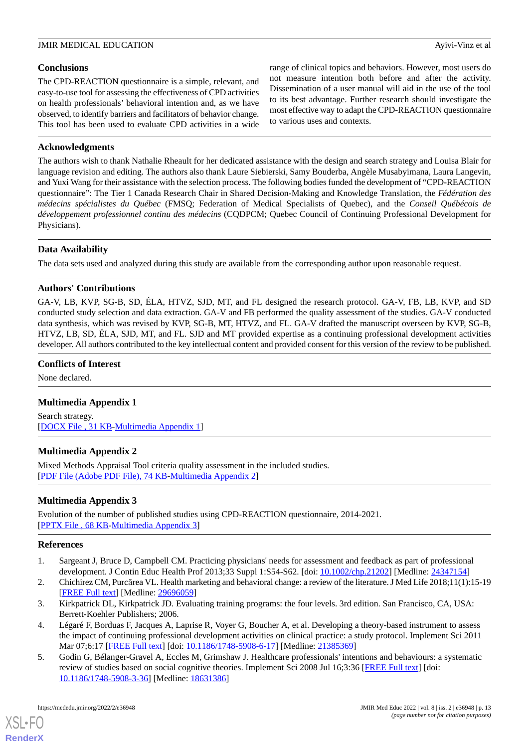## **Conclusions**

The CPD-REACTION questionnaire is a simple, relevant, and easy-to-use tool for assessing the effectiveness of CPD activities on health professionals' behavioral intention and, as we have observed, to identify barriers and facilitators of behavior change. This tool has been used to evaluate CPD activities in a wide range of clinical topics and behaviors. However, most users do not measure intention both before and after the activity. Dissemination of a user manual will aid in the use of the tool to its best advantage. Further research should investigate the most effective way to adapt the CPD-REACTION questionnaire to various uses and contexts.

## **Acknowledgments**

The authors wish to thank Nathalie Rheault for her dedicated assistance with the design and search strategy and Louisa Blair for language revision and editing. The authors also thank Laure Siebierski, Samy Bouderba, Angèle Musabyimana, Laura Langevin, and Yuxi Wang for their assistance with the selection process. The following bodies funded the development of "CPD-REACTION questionnaire": The Tier 1 Canada Research Chair in Shared Decision-Making and Knowledge Translation, the *Fédération des médecins spécialistes du Québec* (FMSQ; Federation of Medical Specialists of Quebec), and the *Conseil Québécois de développement professionnel continu des médecins* (CQDPCM; Quebec Council of Continuing Professional Development for Physicians).

## **Data Availability**

The data sets used and analyzed during this study are available from the corresponding author upon reasonable request.

## **Authors' Contributions**

GA-V, LB, KVP, SG-B, SD, ÉLA, HTVZ, SJD, MT, and FL designed the research protocol. GA-V, FB, LB, KVP, and SD conducted study selection and data extraction. GA-V and FB performed the quality assessment of the studies. GA-V conducted data synthesis, which was revised by KVP, SG-B, MT, HTVZ, and FL. GA-V drafted the manuscript overseen by KVP, SG-B, HTVZ, LB, SD, ÉLA, SJD, MT, and FL. SJD and MT provided expertise as a continuing professional development activities developer. All authors contributed to the key intellectual content and provided consent for this version of the review to be published.

## <span id="page-12-5"></span>**Conflicts of Interest**

None declared.

## <span id="page-12-6"></span>**Multimedia Appendix 1**

Search strategy. [[DOCX File , 31 KB](https://jmir.org/api/download?alt_name=mededu_v8i2e36948_app1.docx&filename=ec04a735e0f21f7a9b50b7794ec7c638.docx)-[Multimedia Appendix 1\]](https://jmir.org/api/download?alt_name=mededu_v8i2e36948_app1.docx&filename=ec04a735e0f21f7a9b50b7794ec7c638.docx)

## <span id="page-12-7"></span>**Multimedia Appendix 2**

Mixed Methods Appraisal Tool criteria quality assessment in the included studies. [[PDF File \(Adobe PDF File\), 74 KB](https://jmir.org/api/download?alt_name=mededu_v8i2e36948_app2.pdf&filename=a594c323cd921e525fa4626b443b1e1f.pdf)-[Multimedia Appendix 2\]](https://jmir.org/api/download?alt_name=mededu_v8i2e36948_app2.pdf&filename=a594c323cd921e525fa4626b443b1e1f.pdf)

## <span id="page-12-0"></span>**Multimedia Appendix 3**

<span id="page-12-1"></span>Evolution of the number of published studies using CPD-REACTION questionnaire, 2014-2021. [[PPTX File , 68 KB](https://jmir.org/api/download?alt_name=mededu_v8i2e36948_app3.pptx&filename=ed51e0eaf5b4c22f2fc7d86193ecd44e.pptx)-[Multimedia Appendix 3\]](https://jmir.org/api/download?alt_name=mededu_v8i2e36948_app3.pptx&filename=ed51e0eaf5b4c22f2fc7d86193ecd44e.pptx)

## <span id="page-12-2"></span>**References**

- <span id="page-12-3"></span>1. Sargeant J, Bruce D, Campbell CM. Practicing physicians' needs for assessment and feedback as part of professional development. J Contin Educ Health Prof 2013;33 Suppl 1:S54-S62. [doi: [10.1002/chp.21202\]](http://dx.doi.org/10.1002/chp.21202) [Medline: [24347154\]](http://www.ncbi.nlm.nih.gov/entrez/query.fcgi?cmd=Retrieve&db=PubMed&list_uids=24347154&dopt=Abstract)
- <span id="page-12-4"></span>2. Chichirez CM, Purcărea VL. Health marketing and behavioral change: a review of the literature. J Med Life 2018;11(1):15-19 [[FREE Full text](http://europepmc.org/abstract/MED/29696059)] [Medline: [29696059](http://www.ncbi.nlm.nih.gov/entrez/query.fcgi?cmd=Retrieve&db=PubMed&list_uids=29696059&dopt=Abstract)]
- 3. Kirkpatrick DL, Kirkpatrick JD. Evaluating training programs: the four levels. 3rd edition. San Francisco, CA, USA: Berrett-Koehler Publishers; 2006.
- 4. Légaré F, Borduas F, Jacques A, Laprise R, Voyer G, Boucher A, et al. Developing a theory-based instrument to assess the impact of continuing professional development activities on clinical practice: a study protocol. Implement Sci 2011 Mar 07;6:17 [\[FREE Full text](https://implementationscience.biomedcentral.com/articles/10.1186/1748-5908-6-17)] [doi: [10.1186/1748-5908-6-17\]](http://dx.doi.org/10.1186/1748-5908-6-17) [Medline: [21385369\]](http://www.ncbi.nlm.nih.gov/entrez/query.fcgi?cmd=Retrieve&db=PubMed&list_uids=21385369&dopt=Abstract)
- 5. Godin G, Bélanger-Gravel A, Eccles M, Grimshaw J. Healthcare professionals' intentions and behaviours: a systematic review of studies based on social cognitive theories. Implement Sci 2008 Jul 16;3:36 [[FREE Full text](https://implementationscience.biomedcentral.com/articles/10.1186/1748-5908-3-36)] [doi: [10.1186/1748-5908-3-36\]](http://dx.doi.org/10.1186/1748-5908-3-36) [Medline: [18631386\]](http://www.ncbi.nlm.nih.gov/entrez/query.fcgi?cmd=Retrieve&db=PubMed&list_uids=18631386&dopt=Abstract)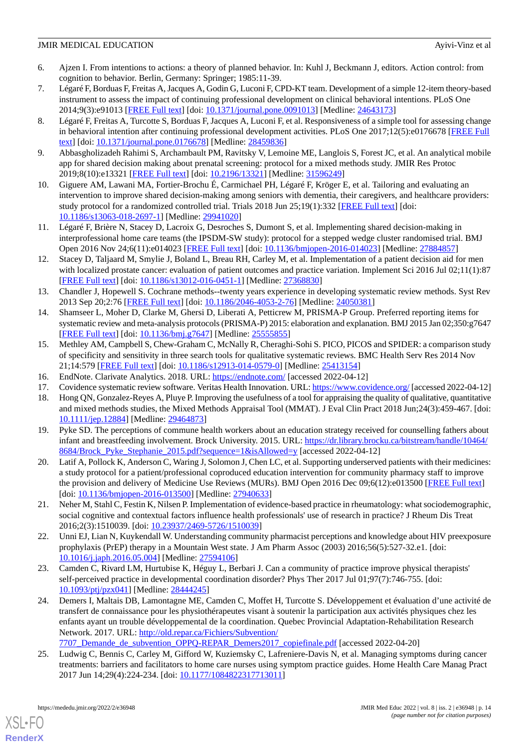- <span id="page-13-0"></span>6. Ajzen I. From intentions to actions: a theory of planned behavior. In: Kuhl J, Beckmann J, editors. Action control: from cognition to behavior. Berlin, Germany: Springer; 1985:11-39.
- <span id="page-13-1"></span>7. LégaréF, Borduas F, Freitas A, Jacques A, Godin G, Luconi F, CPD-KT team. Development of a simple 12-item theory-based instrument to assess the impact of continuing professional development on clinical behavioral intentions. PLoS One 2014;9(3):e91013 [\[FREE Full text](https://dx.plos.org/10.1371/journal.pone.0091013)] [doi: [10.1371/journal.pone.0091013\]](http://dx.doi.org/10.1371/journal.pone.0091013) [Medline: [24643173](http://www.ncbi.nlm.nih.gov/entrez/query.fcgi?cmd=Retrieve&db=PubMed&list_uids=24643173&dopt=Abstract)]
- <span id="page-13-2"></span>8. Légaré F, Freitas A, Turcotte S, Borduas F, Jacques A, Luconi F, et al. Responsiveness of a simple tool for assessing change in behavioral intention after continuing professional development activities. PLoS One 2017;12(5):e0176678 [[FREE Full](https://dx.plos.org/10.1371/journal.pone.0176678) [text](https://dx.plos.org/10.1371/journal.pone.0176678)] [doi: [10.1371/journal.pone.0176678\]](http://dx.doi.org/10.1371/journal.pone.0176678) [Medline: [28459836](http://www.ncbi.nlm.nih.gov/entrez/query.fcgi?cmd=Retrieve&db=PubMed&list_uids=28459836&dopt=Abstract)]
- <span id="page-13-12"></span><span id="page-13-3"></span>9. Abbasgholizadeh Rahimi S, Archambault PM, Ravitsky V, Lemoine ME, Langlois S, Forest JC, et al. An analytical mobile app for shared decision making about prenatal screening: protocol for a mixed methods study. JMIR Res Protoc 2019;8(10):e13321 [\[FREE Full text](https://www.researchprotocols.org/2019/10/e13321/)] [doi: [10.2196/13321\]](http://dx.doi.org/10.2196/13321) [Medline: [31596249\]](http://www.ncbi.nlm.nih.gov/entrez/query.fcgi?cmd=Retrieve&db=PubMed&list_uids=31596249&dopt=Abstract)
- <span id="page-13-17"></span>10. Giguere AM, Lawani MA, Fortier-Brochu É, Carmichael PH, Légaré F, Kröger E, et al. Tailoring and evaluating an intervention to improve shared decision-making among seniors with dementia, their caregivers, and healthcare providers: study protocol for a randomized controlled trial. Trials 2018 Jun 25;19(1):332 [[FREE Full text](https://trialsjournal.biomedcentral.com/articles/10.1186/s13063-018-2697-1)] [doi: [10.1186/s13063-018-2697-1\]](http://dx.doi.org/10.1186/s13063-018-2697-1) [Medline: [29941020](http://www.ncbi.nlm.nih.gov/entrez/query.fcgi?cmd=Retrieve&db=PubMed&list_uids=29941020&dopt=Abstract)]
- <span id="page-13-4"></span>11. Légaré F, Brière N, Stacey D, Lacroix G, Desroches S, Dumont S, et al. Implementing shared decision-making in interprofessional home care teams (the IPSDM-SW study): protocol for a stepped wedge cluster randomised trial. BMJ Open 2016 Nov 24;6(11):e014023 [\[FREE Full text\]](https://bmjopen.bmj.com/lookup/pmidlookup?view=long&pmid=27884857) [doi: [10.1136/bmjopen-2016-014023\]](http://dx.doi.org/10.1136/bmjopen-2016-014023) [Medline: [27884857\]](http://www.ncbi.nlm.nih.gov/entrez/query.fcgi?cmd=Retrieve&db=PubMed&list_uids=27884857&dopt=Abstract)
- <span id="page-13-5"></span>12. Stacey D, Taljaard M, Smylie J, Boland L, Breau RH, Carley M, et al. Implementation of a patient decision aid for men with localized prostate cancer: evaluation of patient outcomes and practice variation. Implement Sci 2016 Jul 02;11(1):87 [[FREE Full text](https://implementationscience.biomedcentral.com/articles/10.1186/s13012-016-0451-1)] [doi: [10.1186/s13012-016-0451-1\]](http://dx.doi.org/10.1186/s13012-016-0451-1) [Medline: [27368830](http://www.ncbi.nlm.nih.gov/entrez/query.fcgi?cmd=Retrieve&db=PubMed&list_uids=27368830&dopt=Abstract)]
- <span id="page-13-6"></span>13. Chandler J, Hopewell S. Cochrane methods--twenty years experience in developing systematic review methods. Syst Rev 2013 Sep 20;2:76 [[FREE Full text](https://systematicreviewsjournal.biomedcentral.com/articles/10.1186/2046-4053-2-76)] [doi: [10.1186/2046-4053-2-76\]](http://dx.doi.org/10.1186/2046-4053-2-76) [Medline: [24050381\]](http://www.ncbi.nlm.nih.gov/entrez/query.fcgi?cmd=Retrieve&db=PubMed&list_uids=24050381&dopt=Abstract)
- <span id="page-13-7"></span>14. Shamseer L, Moher D, Clarke M, Ghersi D, Liberati A, Petticrew M, PRISMA-P Group. Preferred reporting items for systematic review and meta-analysis protocols (PRISMA-P) 2015: elaboration and explanation. BMJ 2015 Jan 02;350:g7647 [[FREE Full text](http://www.bmj.com/lookup/pmidlookup?view=long&pmid=25555855)] [doi: [10.1136/bmj.g7647\]](http://dx.doi.org/10.1136/bmj.g7647) [Medline: [25555855\]](http://www.ncbi.nlm.nih.gov/entrez/query.fcgi?cmd=Retrieve&db=PubMed&list_uids=25555855&dopt=Abstract)
- <span id="page-13-10"></span><span id="page-13-9"></span><span id="page-13-8"></span>15. Methley AM, Campbell S, Chew-Graham C, McNally R, Cheraghi-Sohi S. PICO, PICOS and SPIDER: a comparison study of specificity and sensitivity in three search tools for qualitative systematic reviews. BMC Health Serv Res 2014 Nov 21;14:579 [[FREE Full text](https://bmchealthservres.biomedcentral.com/articles/10.1186/s12913-014-0579-0)] [doi: [10.1186/s12913-014-0579-0\]](http://dx.doi.org/10.1186/s12913-014-0579-0) [Medline: [25413154](http://www.ncbi.nlm.nih.gov/entrez/query.fcgi?cmd=Retrieve&db=PubMed&list_uids=25413154&dopt=Abstract)]
- 16. EndNote. Clarivate Analytics. 2018. URL:<https://endnote.com/> [accessed 2022-04-12]
- <span id="page-13-11"></span>17. Covidence systematic review software. Veritas Health Innovation. URL:<https://www.covidence.org/> [accessed 2022-04-12]
- 18. Hong QN, Gonzalez-Reyes A, Pluye P. Improving the usefulness of a tool for appraising the quality of qualitative, quantitative and mixed methods studies, the Mixed Methods Appraisal Tool (MMAT). J Eval Clin Pract 2018 Jun;24(3):459-467. [doi: [10.1111/jep.12884\]](http://dx.doi.org/10.1111/jep.12884) [Medline: [29464873](http://www.ncbi.nlm.nih.gov/entrez/query.fcgi?cmd=Retrieve&db=PubMed&list_uids=29464873&dopt=Abstract)]
- <span id="page-13-19"></span>19. Pyke SD. The perceptions of commune health workers about an education strategy received for counselling fathers about infant and breastfeeding involvement. Brock University. 2015. URL: [https://dr.library.brocku.ca/bitstream/handle/10464/](https://dr.library.brocku.ca/bitstream/handle/10464/8684/Brock_Pyke_Stephanie_2015.pdf?sequence=1&isAllowed=y) [8684/Brock\\_Pyke\\_Stephanie\\_2015.pdf?sequence=1&isAllowed=y](https://dr.library.brocku.ca/bitstream/handle/10464/8684/Brock_Pyke_Stephanie_2015.pdf?sequence=1&isAllowed=y) [accessed 2022-04-12]
- <span id="page-13-15"></span>20. Latif A, Pollock K, Anderson C, Waring J, Solomon J, Chen LC, et al. Supporting underserved patients with their medicines: a study protocol for a patient/professional coproduced education intervention for community pharmacy staff to improve the provision and delivery of Medicine Use Reviews (MURs). BMJ Open 2016 Dec 09;6(12):e013500 [[FREE Full text](https://bmjopen.bmj.com/lookup/pmidlookup?view=long&pmid=27940633)] [doi: [10.1136/bmjopen-2016-013500\]](http://dx.doi.org/10.1136/bmjopen-2016-013500) [Medline: [27940633\]](http://www.ncbi.nlm.nih.gov/entrez/query.fcgi?cmd=Retrieve&db=PubMed&list_uids=27940633&dopt=Abstract)
- <span id="page-13-16"></span><span id="page-13-13"></span>21. Neher M, Stahl C, Festin K, Nilsen P. Implementation of evidence-based practice in rheumatology: what sociodemographic, social cognitive and contextual factors influence health professionals' use of research in practice? J Rheum Dis Treat 2016;2(3):1510039. [doi: [10.23937/2469-5726/1510039\]](http://dx.doi.org/10.23937/2469-5726/1510039)
- <span id="page-13-18"></span>22. Unni EJ, Lian N, Kuykendall W. Understanding community pharmacist perceptions and knowledge about HIV preexposure prophylaxis (PrEP) therapy in a Mountain West state. J Am Pharm Assoc (2003) 2016;56(5):527-32.e1. [doi: [10.1016/j.japh.2016.05.004\]](http://dx.doi.org/10.1016/j.japh.2016.05.004) [Medline: [27594106\]](http://www.ncbi.nlm.nih.gov/entrez/query.fcgi?cmd=Retrieve&db=PubMed&list_uids=27594106&dopt=Abstract)
- 23. Camden C, Rivard LM, Hurtubise K, Héguy L, Berbari J. Can a community of practice improve physical therapists' self-perceived practice in developmental coordination disorder? Phys Ther 2017 Jul 01;97(7):746-755. [doi: [10.1093/ptj/pzx041\]](http://dx.doi.org/10.1093/ptj/pzx041) [Medline: [28444245](http://www.ncbi.nlm.nih.gov/entrez/query.fcgi?cmd=Retrieve&db=PubMed&list_uids=28444245&dopt=Abstract)]
- <span id="page-13-14"></span>24. Demers I, Maltais DB, Lamontagne ME, Camden C, Moffet H, Turcotte S. Développement et évaluation d'une activité de transfert de connaissance pour les physiothérapeutes visant à soutenir la participation aux activités physiques chez les enfants ayant un trouble développemental de la coordination. Quebec Provincial Adaptation-Rehabilitation Research Network. 2017. URL: [http://old.repar.ca/Fichiers/Subvention/](http://old.repar.ca/Fichiers/Subvention/7707_Demande_de_subvention_OPPQ-REPAR_Demers2017_copiefinale.pdf)
	- 7707 Demande de subvention OPPQ-REPAR Demers2017 copiefinale.pdf [accessed 2022-04-20]
- 25. Ludwig C, Bennis C, Carley M, Gifford W, Kuziemsky C, Lafreniere-Davis N, et al. Managing symptoms during cancer treatments: barriers and facilitators to home care nurses using symptom practice guides. Home Health Care Manag Pract 2017 Jun 14;29(4):224-234. [doi: [10.1177/1084822317713011\]](http://dx.doi.org/10.1177/1084822317713011)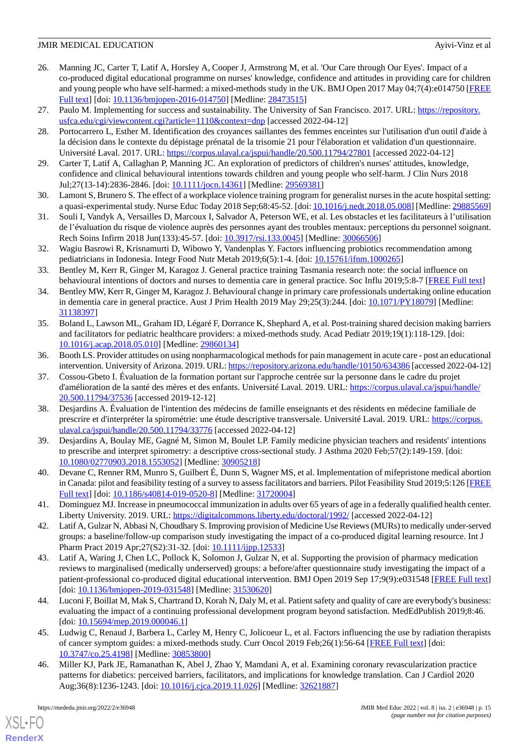- <span id="page-14-10"></span>26. Manning JC, Carter T, Latif A, Horsley A, Cooper J, Armstrong M, et al. 'Our Care through Our Eyes'. Impact of a co-produced digital educational programme on nurses' knowledge, confidence and attitudes in providing care for children and young people who have self-harmed: a mixed-methods study in the UK. BMJ Open 2017 May 04;7(4):e014750 [\[FREE](https://bmjopen.bmj.com/lookup/pmidlookup?view=long&pmid=28473515) [Full text\]](https://bmjopen.bmj.com/lookup/pmidlookup?view=long&pmid=28473515) [doi: [10.1136/bmjopen-2016-014750](http://dx.doi.org/10.1136/bmjopen-2016-014750)] [Medline: [28473515\]](http://www.ncbi.nlm.nih.gov/entrez/query.fcgi?cmd=Retrieve&db=PubMed&list_uids=28473515&dopt=Abstract)
- <span id="page-14-17"></span><span id="page-14-1"></span>27. Paulo M. Implementing for success and sustainability. The University of San Francisco. 2017. URL: [https://repository.](https://repository.usfca.edu/cgi/viewcontent.cgi?article=1110&context=dnp) [usfca.edu/cgi/viewcontent.cgi?article=1110&context=dnp](https://repository.usfca.edu/cgi/viewcontent.cgi?article=1110&context=dnp) [accessed 2022-04-12]
- 28. Portocarrero L, Esther M. Identification des croyances saillantes des femmes enceintes sur l'utilisation d'un outil d'aide à la décision dans le contexte du dépistage prénatal de la trisomie 21 pour l'élaboration et validation d'un questionnaire. Université Laval. 2017. URL: <https://corpus.ulaval.ca/jspui/handle/20.500.11794/27801> [accessed 2022-04-12]
- <span id="page-14-18"></span><span id="page-14-7"></span>29. Carter T, Latif A, Callaghan P, Manning JC. An exploration of predictors of children's nurses' attitudes, knowledge, confidence and clinical behavioural intentions towards children and young people who self-harm. J Clin Nurs 2018 Jul;27(13-14):2836-2846. [doi: [10.1111/jocn.14361\]](http://dx.doi.org/10.1111/jocn.14361) [Medline: [29569381](http://www.ncbi.nlm.nih.gov/entrez/query.fcgi?cmd=Retrieve&db=PubMed&list_uids=29569381&dopt=Abstract)]
- <span id="page-14-2"></span>30. Lamont S, Brunero S. The effect of a workplace violence training program for generalist nurses in the acute hospital setting: a quasi-experimental study. Nurse Educ Today 2018 Sep;68:45-52. [doi: [10.1016/j.nedt.2018.05.008\]](http://dx.doi.org/10.1016/j.nedt.2018.05.008) [Medline: [29885569](http://www.ncbi.nlm.nih.gov/entrez/query.fcgi?cmd=Retrieve&db=PubMed&list_uids=29885569&dopt=Abstract)]
- <span id="page-14-0"></span>31. Souli I, Vandyk A, Versailles D, Marcoux I, Salvador A, Peterson WE, et al. Les obstacles et les facilitateurs à l'utilisation de l'évaluation du risque de violence auprès des personnes ayant des troubles mentaux: perceptions du personnel soignant. Rech Soins Infirm 2018 Jun(133):45-57. [doi: [10.3917/rsi.133.0045\]](http://dx.doi.org/10.3917/rsi.133.0045) [Medline: [30066506\]](http://www.ncbi.nlm.nih.gov/entrez/query.fcgi?cmd=Retrieve&db=PubMed&list_uids=30066506&dopt=Abstract)
- <span id="page-14-20"></span>32. Wagiu Basrowi R, Krisnamurti D, Wibowo Y, Vandenplas Y. Factors influencing probiotics recommendation among pediatricians in Indonesia. Integr Food Nutr Metab 2019;6(5):1-4. [doi: [10.15761/ifnm.1000265\]](http://dx.doi.org/10.15761/ifnm.1000265)
- <span id="page-14-8"></span>33. Bentley M, Kerr R, Ginger M, Karagoz J. General practice training Tasmania research note: the social influence on behavioural intentions of doctors and nurses to dementia care in general practice. Soc Influ 2019;5:8-7 [\[FREE Full text\]](https://gptt.com.au/wp-content/uploads/GPTT-DCTEP-Project-Report.pdf)
- <span id="page-14-3"></span>34. Bentley MW, Kerr R, Ginger M, Karagoz J. Behavioural change in primary care professionals undertaking online education in dementia care in general practice. Aust J Prim Health 2019 May 29;25(3):244. [doi: [10.1071/PY18079\]](http://dx.doi.org/10.1071/PY18079) [Medline: [31138397](http://www.ncbi.nlm.nih.gov/entrez/query.fcgi?cmd=Retrieve&db=PubMed&list_uids=31138397&dopt=Abstract)]
- <span id="page-14-15"></span>35. Boland L, Lawson ML, Graham ID, Légaré F, Dorrance K, Shephard A, et al. Post-training shared decision making barriers and facilitators for pediatric healthcare providers: a mixed-methods study. Acad Pediatr 2019;19(1):118-129. [doi: [10.1016/j.acap.2018.05.010\]](http://dx.doi.org/10.1016/j.acap.2018.05.010) [Medline: [29860134\]](http://www.ncbi.nlm.nih.gov/entrez/query.fcgi?cmd=Retrieve&db=PubMed&list_uids=29860134&dopt=Abstract)
- <span id="page-14-9"></span>36. Booth LS. Provider attitudes on using nonpharmacological methods for pain management in acute care - post an educational intervention. University of Arizona. 2019. URL:<https://repository.arizona.edu/handle/10150/634386> [accessed 2022-04-12]
- <span id="page-14-4"></span>37. Cossou-Gbeto I. Évaluation de la formation portant sur l'approche centrée sur la personne dans le cadre du projet d'amélioration de la santé des mères et des enfants. Université Laval. 2019. URL: [https://corpus.ulaval.ca/jspui/handle/](https://corpus.ulaval.ca/jspui/handle/20.500.11794/37536) [20.500.11794/37536](https://corpus.ulaval.ca/jspui/handle/20.500.11794/37536) [accessed 2019-12-12]
- <span id="page-14-14"></span>38. Desjardins A. Évaluation de l'intention des médecins de famille enseignants et des résidents en médecine familiale de prescrire et d'interpréter la spirométrie: une étude descriptive transversale. Université Laval. 2019. URL: [https://corpus.](https://corpus.ulaval.ca/jspui/handle/20.500.11794/33776) [ulaval.ca/jspui/handle/20.500.11794/33776](https://corpus.ulaval.ca/jspui/handle/20.500.11794/33776) [accessed 2022-04-12]
- <span id="page-14-19"></span><span id="page-14-5"></span>39. Desjardins A, Boulay ME, Gagné M, Simon M, Boulet LP. Family medicine physician teachers and residents' intentions to prescribe and interpret spirometry: a descriptive cross-sectional study. J Asthma 2020 Feb;57(2):149-159. [doi: [10.1080/02770903.2018.1553052\]](http://dx.doi.org/10.1080/02770903.2018.1553052) [Medline: [30905218\]](http://www.ncbi.nlm.nih.gov/entrez/query.fcgi?cmd=Retrieve&db=PubMed&list_uids=30905218&dopt=Abstract)
- <span id="page-14-11"></span>40. Devane C, Renner RM, Munro S, Guilbert É, Dunn S, Wagner MS, et al. Implementation of mifepristone medical abortion in Canada: pilot and feasibility testing of a survey to assess facilitators and barriers. Pilot Feasibility Stud 2019;5:126 [\[FREE](https://pilotfeasibilitystudies.biomedcentral.com/articles/10.1186/s40814-019-0520-8) [Full text\]](https://pilotfeasibilitystudies.biomedcentral.com/articles/10.1186/s40814-019-0520-8) [doi: [10.1186/s40814-019-0520-8](http://dx.doi.org/10.1186/s40814-019-0520-8)] [Medline: [31720004](http://www.ncbi.nlm.nih.gov/entrez/query.fcgi?cmd=Retrieve&db=PubMed&list_uids=31720004&dopt=Abstract)]
- <span id="page-14-12"></span>41. Dominguez MJ. Increase in pneumococcal immunization in adults over 65 years of age in a federally qualified health center. Liberty University. 2019. URL: <https://digitalcommons.liberty.edu/doctoral/1992/> [accessed 2022-04-12]
- <span id="page-14-6"></span>42. Latif A, Gulzar N, Abbasi N, Choudhary S. Improving provision of Medicine Use Reviews (MURs) to medically under-served groups: a baseline/follow-up comparison study investigating the impact of a co-produced digital learning resource. Int J Pharm Pract 2019 Apr; 27(S2): 31-32. [doi: [10.1111/ijpp.12533](http://dx.doi.org/10.1111/ijpp.12533)]
- <span id="page-14-13"></span>43. Latif A, Waring J, Chen LC, Pollock K, Solomon J, Gulzar N, et al. Supporting the provision of pharmacy medication reviews to marginalised (medically underserved) groups: a before/after questionnaire study investigating the impact of a patient-professional co-produced digital educational intervention. BMJ Open 2019 Sep 17;9(9):e031548 [\[FREE Full text](https://bmjopen.bmj.com/lookup/pmidlookup?view=long&pmid=31530620)] [doi: [10.1136/bmjopen-2019-031548\]](http://dx.doi.org/10.1136/bmjopen-2019-031548) [Medline: [31530620\]](http://www.ncbi.nlm.nih.gov/entrez/query.fcgi?cmd=Retrieve&db=PubMed&list_uids=31530620&dopt=Abstract)
- <span id="page-14-16"></span>44. Luconi F, Boillat M, Mak S, Chartrand D, Korah N, Daly M, et al. Patient safety and quality of care are everybody's business: evaluating the impact of a continuing professional development program beyond satisfaction. MedEdPublish 2019;8:46. [doi: [10.15694/mep.2019.000046.1\]](http://dx.doi.org/10.15694/mep.2019.000046.1)
- 45. Ludwig C, Renaud J, Barbera L, Carley M, Henry C, Jolicoeur L, et al. Factors influencing the use by radiation therapists of cancer symptom guides: a mixed-methods study. Curr Oncol 2019 Feb;26(1):56-64 [\[FREE Full text\]](https://www.mdpi.com/resolver?pii=29_conc_ludwigfeb_56-64) [doi: [10.3747/co.25.4198](http://dx.doi.org/10.3747/co.25.4198)] [Medline: [30853800](http://www.ncbi.nlm.nih.gov/entrez/query.fcgi?cmd=Retrieve&db=PubMed&list_uids=30853800&dopt=Abstract)]
- 46. Miller KJ, Park JE, Ramanathan K, Abel J, Zhao Y, Mamdani A, et al. Examining coronary revascularization practice patterns for diabetics: perceived barriers, facilitators, and implications for knowledge translation. Can J Cardiol 2020 Aug;36(8):1236-1243. [doi: [10.1016/j.cjca.2019.11.026\]](http://dx.doi.org/10.1016/j.cjca.2019.11.026) [Medline: [32621887\]](http://www.ncbi.nlm.nih.gov/entrez/query.fcgi?cmd=Retrieve&db=PubMed&list_uids=32621887&dopt=Abstract)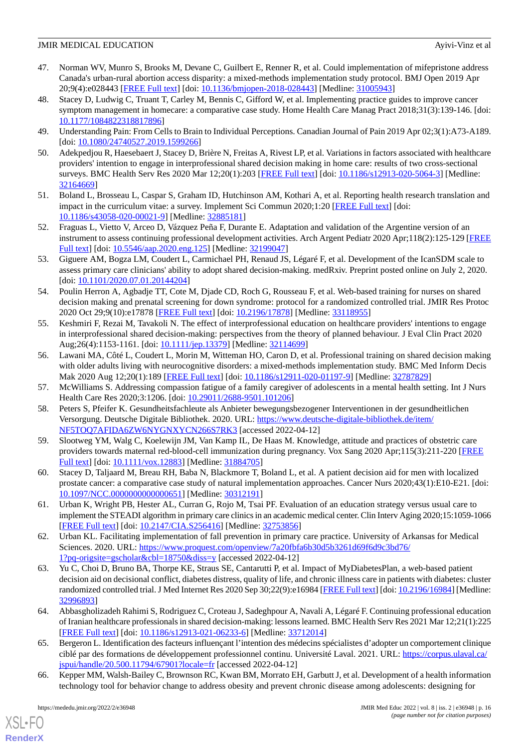- <span id="page-15-12"></span>47. Norman WV, Munro S, Brooks M, Devane C, Guilbert E, Renner R, et al. Could implementation of mifepristone address Canada's urban-rural abortion access disparity: a mixed-methods implementation study protocol. BMJ Open 2019 Apr 20;9(4):e028443 [\[FREE Full text](https://bmjopen.bmj.com/lookup/pmidlookup?view=long&pmid=31005943)] [doi: [10.1136/bmjopen-2018-028443\]](http://dx.doi.org/10.1136/bmjopen-2018-028443) [Medline: [31005943](http://www.ncbi.nlm.nih.gov/entrez/query.fcgi?cmd=Retrieve&db=PubMed&list_uids=31005943&dopt=Abstract)]
- <span id="page-15-16"></span>48. Stacey D, Ludwig C, Truant T, Carley M, Bennis C, Gifford W, et al. Implementing practice guides to improve cancer symptom management in homecare: a comparative case study. Home Health Care Manag Pract 2018;31(3):139-146. [doi: [10.1177/1084822318817896\]](http://dx.doi.org/10.1177/1084822318817896)
- <span id="page-15-17"></span><span id="page-15-13"></span>49. Understanding Pain: From Cells to Brain to Individual Perceptions. Canadian Journal of Pain 2019 Apr 02;3(1):A73-A189. [doi: [10.1080/24740527.2019.1599266](http://dx.doi.org/10.1080/24740527.2019.1599266)]
- 50. Adekpedjou R, Haesebaert J, Stacey D, Brière N, Freitas A, Rivest LP, et al. Variations in factors associated with healthcare providers' intention to engage in interprofessional shared decision making in home care: results of two cross-sectional surveys. BMC Health Serv Res 2020 Mar 12;20(1):203 [[FREE Full text](https://bmchealthservres.biomedcentral.com/articles/10.1186/s12913-020-5064-3)] [doi: [10.1186/s12913-020-5064-3\]](http://dx.doi.org/10.1186/s12913-020-5064-3) [Medline: [32164669](http://www.ncbi.nlm.nih.gov/entrez/query.fcgi?cmd=Retrieve&db=PubMed&list_uids=32164669&dopt=Abstract)]
- <span id="page-15-9"></span><span id="page-15-0"></span>51. Boland L, Brosseau L, Caspar S, Graham ID, Hutchinson AM, Kothari A, et al. Reporting health research translation and impact in the curriculum vitae: a survey. Implement Sci Commun 2020;1:20 [\[FREE Full text\]](https://implementationsciencecomms.biomedcentral.com/articles/10.1186/s43058-020-00021-9) [doi: [10.1186/s43058-020-00021-9\]](http://dx.doi.org/10.1186/s43058-020-00021-9) [Medline: [32885181\]](http://www.ncbi.nlm.nih.gov/entrez/query.fcgi?cmd=Retrieve&db=PubMed&list_uids=32885181&dopt=Abstract)
- <span id="page-15-1"></span>52. Fraguas L, Vietto V, Arceo D, Vázquez Peña F, Durante E. Adaptation and validation of the Argentine version of an instrument to assess continuing professional development activities. Arch Argent Pediatr 2020 Apr;118(2):125-129 [\[FREE](https://doi.org/10.5546/aap.2020.eng.125) [Full text\]](https://doi.org/10.5546/aap.2020.eng.125) [doi: [10.5546/aap.2020.eng.125](http://dx.doi.org/10.5546/aap.2020.eng.125)] [Medline: [32199047](http://www.ncbi.nlm.nih.gov/entrez/query.fcgi?cmd=Retrieve&db=PubMed&list_uids=32199047&dopt=Abstract)]
- <span id="page-15-2"></span>53. Giguere AM, Bogza LM, Coudert L, Carmichael PH, Renaud JS, Légaré F, et al. Development of the IcanSDM scale to assess primary care clinicians' ability to adopt shared decision-making. medRxiv. Preprint posted online on July 2, 2020. [doi: [10.1101/2020.07.01.20144204\]](http://dx.doi.org/10.1101/2020.07.01.20144204)
- <span id="page-15-7"></span>54. Poulin Herron A, Agbadje TT, Cote M, Djade CD, Roch G, Rousseau F, et al. Web-based training for nurses on shared decision making and prenatal screening for down syndrome: protocol for a randomized controlled trial. JMIR Res Protoc 2020 Oct 29;9(10):e17878 [\[FREE Full text\]](https://www.researchprotocols.org/2020/10/e17878/) [doi: [10.2196/17878](http://dx.doi.org/10.2196/17878)] [Medline: [33118955](http://www.ncbi.nlm.nih.gov/entrez/query.fcgi?cmd=Retrieve&db=PubMed&list_uids=33118955&dopt=Abstract)]
- <span id="page-15-3"></span>55. Keshmiri F, Rezai M, Tavakoli N. The effect of interprofessional education on healthcare providers' intentions to engage in interprofessional shared decision-making: perspectives from the theory of planned behaviour. J Eval Clin Pract 2020 Aug;26(4):1153-1161. [doi: [10.1111/jep.13379\]](http://dx.doi.org/10.1111/jep.13379) [Medline: [32114699\]](http://www.ncbi.nlm.nih.gov/entrez/query.fcgi?cmd=Retrieve&db=PubMed&list_uids=32114699&dopt=Abstract)
- <span id="page-15-18"></span><span id="page-15-10"></span>56. Lawani MA, Côté L, Coudert L, Morin M, Witteman HO, Caron D, et al. Professional training on shared decision making with older adults living with neurocognitive disorders: a mixed-methods implementation study. BMC Med Inform Decis Mak 2020 Aug 12;20(1):189 [[FREE Full text](https://bmcmedinformdecismak.biomedcentral.com/articles/10.1186/s12911-020-01197-9)] [doi: [10.1186/s12911-020-01197-9](http://dx.doi.org/10.1186/s12911-020-01197-9)] [Medline: [32787829](http://www.ncbi.nlm.nih.gov/entrez/query.fcgi?cmd=Retrieve&db=PubMed&list_uids=32787829&dopt=Abstract)]
- <span id="page-15-11"></span>57. McWilliams S. Addressing compassion fatigue of a family caregiver of adolescents in a mental health setting. Int J Nurs Health Care Res 2020;3:1206. [doi: [10.29011/2688-9501.101206\]](http://dx.doi.org/10.29011/2688-9501.101206)
- 58. Peters S, Pfeifer K. Gesundheitsfachleute als Anbieter bewegungsbezogener Interventionen in der gesundheitlichen Versorgung. Deutsche Digitale Bibliothek. 2020. URL: [https://www.deutsche-digitale-bibliothek.de/item/](https://www.deutsche-digitale-bibliothek.de/item/NF5TOQ7AFIDA6ZW6NYGNXYCN266S7RK3) [NF5TOQ7AFIDA6ZW6NYGNXYCN266S7RK3](https://www.deutsche-digitale-bibliothek.de/item/NF5TOQ7AFIDA6ZW6NYGNXYCN266S7RK3) [accessed 2022-04-12]
- <span id="page-15-14"></span><span id="page-15-4"></span>59. Slootweg YM, Walg C, Koelewijn JM, Van Kamp IL, De Haas M. Knowledge, attitude and practices of obstetric care providers towards maternal red-blood-cell immunization during pregnancy. Vox Sang 2020 Apr;115(3):211-220 [[FREE](http://europepmc.org/abstract/MED/31884705) [Full text\]](http://europepmc.org/abstract/MED/31884705) [doi: [10.1111/vox.12883\]](http://dx.doi.org/10.1111/vox.12883) [Medline: [31884705\]](http://www.ncbi.nlm.nih.gov/entrez/query.fcgi?cmd=Retrieve&db=PubMed&list_uids=31884705&dopt=Abstract)
- 60. Stacey D, Taljaard M, Breau RH, Baba N, Blackmore T, Boland L, et al. A patient decision aid for men with localized prostate cancer: a comparative case study of natural implementation approaches. Cancer Nurs 2020;43(1):E10-E21. [doi: [10.1097/NCC.0000000000000651\]](http://dx.doi.org/10.1097/NCC.0000000000000651) [Medline: [30312191\]](http://www.ncbi.nlm.nih.gov/entrez/query.fcgi?cmd=Retrieve&db=PubMed&list_uids=30312191&dopt=Abstract)
- <span id="page-15-5"></span>61. Urban K, Wright PB, Hester AL, Curran G, Rojo M, Tsai PF. Evaluation of an education strategy versus usual care to implement the STEADI algorithm in primary care clinics in an academic medical center. Clin Interv Aging 2020;15:1059-1066 [[FREE Full text](https://dx.doi.org/10.2147/CIA.S256416)] [doi: [10.2147/CIA.S256416](http://dx.doi.org/10.2147/CIA.S256416)] [Medline: [32753856\]](http://www.ncbi.nlm.nih.gov/entrez/query.fcgi?cmd=Retrieve&db=PubMed&list_uids=32753856&dopt=Abstract)
- <span id="page-15-8"></span>62. Urban KL. Facilitating implementation of fall prevention in primary care practice. University of Arkansas for Medical Sciences. 2020. URL: [https://www.proquest.com/openview/7a20fbfa6b30d5b3261d69f6d9c3bd76/](https://www.proquest.com/openview/7a20fbfa6b30d5b3261d69f6d9c3bd76/1?pq-origsite=gscholar&cbl=18750&diss=y) [1?pq-origsite=gscholar&cbl=18750&diss=y](https://www.proquest.com/openview/7a20fbfa6b30d5b3261d69f6d9c3bd76/1?pq-origsite=gscholar&cbl=18750&diss=y) [accessed 2022-04-12]
- <span id="page-15-6"></span>63. Yu C, Choi D, Bruno BA, Thorpe KE, Straus SE, Cantarutti P, et al. Impact of MyDiabetesPlan, a web-based patient decision aid on decisional conflict, diabetes distress, quality of life, and chronic illness care in patients with diabetes: cluster randomized controlled trial. J Med Internet Res 2020 Sep 30;22(9):e16984 [[FREE Full text\]](https://www.jmir.org/2020/9/e16984/) [doi: [10.2196/16984](http://dx.doi.org/10.2196/16984)] [Medline: [32996893](http://www.ncbi.nlm.nih.gov/entrez/query.fcgi?cmd=Retrieve&db=PubMed&list_uids=32996893&dopt=Abstract)]
- <span id="page-15-15"></span>64. Abbasgholizadeh Rahimi S, Rodriguez C, Croteau J, Sadeghpour A, Navali A, LégaréF. Continuing professional education of Iranian healthcare professionals in shared decision-making: lessons learned. BMC Health Serv Res 2021 Mar 12;21(1):225 [[FREE Full text](https://bmchealthservres.biomedcentral.com/articles/10.1186/s12913-021-06233-6)] [doi: [10.1186/s12913-021-06233-6\]](http://dx.doi.org/10.1186/s12913-021-06233-6) [Medline: [33712014](http://www.ncbi.nlm.nih.gov/entrez/query.fcgi?cmd=Retrieve&db=PubMed&list_uids=33712014&dopt=Abstract)]
- 65. Bergeron L. Identification des facteurs influençant l'intention des médecins spécialistes d'adopter un comportement clinique ciblé par des formations de développement professionnel continu. Université Laval. 2021. URL: [https://corpus.ulaval.ca/](https://corpus.ulaval.ca/jspui/handle/20.500.11794/67901?locale=fr) [jspui/handle/20.500.11794/67901?locale=fr](https://corpus.ulaval.ca/jspui/handle/20.500.11794/67901?locale=fr) [accessed 2022-04-12]
- 66. Kepper MM, Walsh-Bailey C, Brownson RC, Kwan BM, Morrato EH, Garbutt J, et al. Development of a health information technology tool for behavior change to address obesity and prevent chronic disease among adolescents: designing for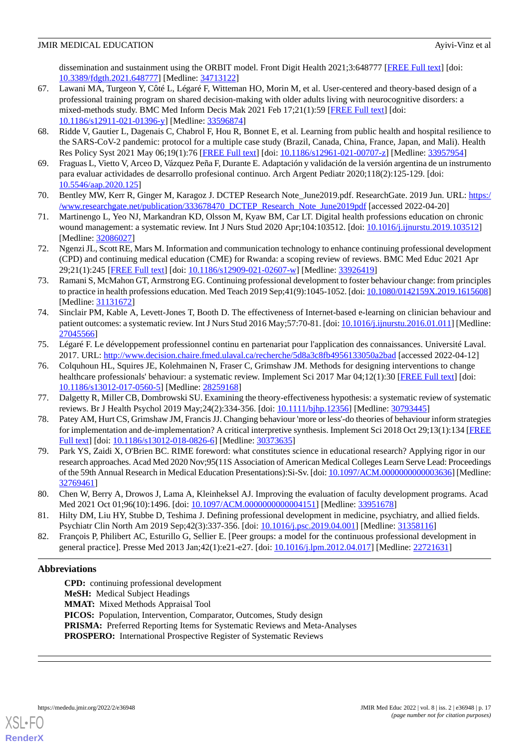dissemination and sustainment using the ORBIT model. Front Digit Health 2021;3:648777 [[FREE Full text](http://europepmc.org/abstract/MED/34713122)] [doi: [10.3389/fdgth.2021.648777\]](http://dx.doi.org/10.3389/fdgth.2021.648777) [Medline: [34713122\]](http://www.ncbi.nlm.nih.gov/entrez/query.fcgi?cmd=Retrieve&db=PubMed&list_uids=34713122&dopt=Abstract)

- <span id="page-16-2"></span>67. Lawani MA, Turgeon Y, Côté L, Légaré F, Witteman HO, Morin M, et al. User-centered and theory-based design of a professional training program on shared decision-making with older adults living with neurocognitive disorders: a mixed-methods study. BMC Med Inform Decis Mak 2021 Feb 17;21(1):59 [\[FREE Full text](https://bmcmedinformdecismak.biomedcentral.com/articles/10.1186/s12911-021-01396-y)] [doi: [10.1186/s12911-021-01396-y\]](http://dx.doi.org/10.1186/s12911-021-01396-y) [Medline: [33596874\]](http://www.ncbi.nlm.nih.gov/entrez/query.fcgi?cmd=Retrieve&db=PubMed&list_uids=33596874&dopt=Abstract)
- <span id="page-16-7"></span><span id="page-16-1"></span>68. Ridde V, Gautier L, Dagenais C, Chabrol F, Hou R, Bonnet E, et al. Learning from public health and hospital resilience to the SARS-CoV-2 pandemic: protocol for a multiple case study (Brazil, Canada, China, France, Japan, and Mali). Health Res Policy Syst 2021 May 06;19(1):76 [\[FREE Full text](https://health-policy-systems.biomedcentral.com/articles/10.1186/s12961-021-00707-z)] [doi: [10.1186/s12961-021-00707-z](http://dx.doi.org/10.1186/s12961-021-00707-z)] [Medline: [33957954](http://www.ncbi.nlm.nih.gov/entrez/query.fcgi?cmd=Retrieve&db=PubMed&list_uids=33957954&dopt=Abstract)]
- <span id="page-16-0"></span>69. Fraguas L, Vietto V, Arceo D, Vázquez Peña F, Durante E. Adaptación y validación de la versión argentina de un instrumento para evaluar actividades de desarrollo profesional continuo. Arch Argent Pediatr 2020;118(2):125-129. [doi: [10.5546/aap.2020.125\]](http://dx.doi.org/10.5546/aap.2020.125)
- <span id="page-16-3"></span>70. Bentley MW, Kerr R, Ginger M, Karagoz J. DCTEP Research Note\_June2019.pdf. ResearchGate. 2019 Jun. URL: [https:/](https://www.researchgate.net/publication/333678470_DCTEP_Research_Note_June2019pdf) [/www.researchgate.net/publication/333678470\\_DCTEP\\_Research\\_Note\\_June2019pdf](https://www.researchgate.net/publication/333678470_DCTEP_Research_Note_June2019pdf) [accessed 2022-04-20]
- <span id="page-16-4"></span>71. Martinengo L, Yeo NJ, Markandran KD, Olsson M, Kyaw BM, Car LT. Digital health professions education on chronic wound management: a systematic review. Int J Nurs Stud 2020 Apr;104:103512. [doi: [10.1016/j.ijnurstu.2019.103512](http://dx.doi.org/10.1016/j.ijnurstu.2019.103512)] [Medline: [32086027](http://www.ncbi.nlm.nih.gov/entrez/query.fcgi?cmd=Retrieve&db=PubMed&list_uids=32086027&dopt=Abstract)]
- <span id="page-16-5"></span>72. Ngenzi JL, Scott RE, Mars M. Information and communication technology to enhance continuing professional development (CPD) and continuing medical education (CME) for Rwanda: a scoping review of reviews. BMC Med Educ 2021 Apr 29;21(1):245 [[FREE Full text\]](https://bmcmededuc.biomedcentral.com/articles/10.1186/s12909-021-02607-w) [doi: [10.1186/s12909-021-02607-w\]](http://dx.doi.org/10.1186/s12909-021-02607-w) [Medline: [33926419](http://www.ncbi.nlm.nih.gov/entrez/query.fcgi?cmd=Retrieve&db=PubMed&list_uids=33926419&dopt=Abstract)]
- <span id="page-16-6"></span>73. Ramani S, McMahon GT, Armstrong EG. Continuing professional development to foster behaviour change: from principles to practice in health professions education. Med Teach 2019 Sep;41(9):1045-1052. [doi: [10.1080/0142159X.2019.1615608\]](http://dx.doi.org/10.1080/0142159X.2019.1615608) [Medline: [31131672](http://www.ncbi.nlm.nih.gov/entrez/query.fcgi?cmd=Retrieve&db=PubMed&list_uids=31131672&dopt=Abstract)]
- <span id="page-16-8"></span>74. Sinclair PM, Kable A, Levett-Jones T, Booth D. The effectiveness of Internet-based e-learning on clinician behaviour and patient outcomes: a systematic review. Int J Nurs Stud 2016 May; 57:70-81. [doi: [10.1016/j.ijnurstu.2016.01.011](http://dx.doi.org/10.1016/j.ijnurstu.2016.01.011)] [Medline: [27045566](http://www.ncbi.nlm.nih.gov/entrez/query.fcgi?cmd=Retrieve&db=PubMed&list_uids=27045566&dopt=Abstract)]
- <span id="page-16-9"></span>75. Légaré F. Le développement professionnel continu en partenariat pour l'application des connaissances. Université Laval. 2017. URL: <http://www.decision.chaire.fmed.ulaval.ca/recherche/5d8a3c8fb4956133050a2bad> [accessed 2022-04-12]
- <span id="page-16-11"></span><span id="page-16-10"></span>76. Colquhoun HL, Squires JE, Kolehmainen N, Fraser C, Grimshaw JM. Methods for designing interventions to change healthcare professionals' behaviour: a systematic review. Implement Sci 2017 Mar 04;12(1):30 [[FREE Full text](https://implementationscience.biomedcentral.com/articles/10.1186/s13012-017-0560-5)] [doi: [10.1186/s13012-017-0560-5\]](http://dx.doi.org/10.1186/s13012-017-0560-5) [Medline: [28259168](http://www.ncbi.nlm.nih.gov/entrez/query.fcgi?cmd=Retrieve&db=PubMed&list_uids=28259168&dopt=Abstract)]
- <span id="page-16-12"></span>77. Dalgetty R, Miller CB, Dombrowski SU. Examining the theory-effectiveness hypothesis: a systematic review of systematic reviews. Br J Health Psychol 2019 May;24(2):334-356. [doi: [10.1111/bjhp.12356\]](http://dx.doi.org/10.1111/bjhp.12356) [Medline: [30793445](http://www.ncbi.nlm.nih.gov/entrez/query.fcgi?cmd=Retrieve&db=PubMed&list_uids=30793445&dopt=Abstract)]
- 78. Patey AM, Hurt CS, Grimshaw JM, Francis JJ. Changing behaviour 'more or less'-do theories of behaviour inform strategies for implementation and de-implementation? A critical interpretive synthesis. Implement Sci 2018 Oct 29;13(1):134 [\[FREE](https://implementationscience.biomedcentral.com/articles/10.1186/s13012-018-0826-6) [Full text\]](https://implementationscience.biomedcentral.com/articles/10.1186/s13012-018-0826-6) [doi: [10.1186/s13012-018-0826-6](http://dx.doi.org/10.1186/s13012-018-0826-6)] [Medline: [30373635](http://www.ncbi.nlm.nih.gov/entrez/query.fcgi?cmd=Retrieve&db=PubMed&list_uids=30373635&dopt=Abstract)]
- <span id="page-16-14"></span><span id="page-16-13"></span>79. Park YS, Zaidi X, O'Brien BC. RIME foreword: what constitutes science in educational research? Applying rigor in our research approaches. Acad Med 2020 Nov;95(11S Association of American Medical Colleges Learn Serve Lead: Proceedings of the 59th Annual Research in Medical Education Presentations):Si-Sv. [doi: [10.1097/ACM.0000000000003636\]](http://dx.doi.org/10.1097/ACM.0000000000003636) [Medline: [32769461](http://www.ncbi.nlm.nih.gov/entrez/query.fcgi?cmd=Retrieve&db=PubMed&list_uids=32769461&dopt=Abstract)]
- <span id="page-16-15"></span>80. Chen W, Berry A, Drowos J, Lama A, Kleinheksel AJ. Improving the evaluation of faculty development programs. Acad Med 2021 Oct 01;96(10):1496. [doi: [10.1097/ACM.0000000000004151\]](http://dx.doi.org/10.1097/ACM.0000000000004151) [Medline: [33951678](http://www.ncbi.nlm.nih.gov/entrez/query.fcgi?cmd=Retrieve&db=PubMed&list_uids=33951678&dopt=Abstract)]
- 81. Hilty DM, Liu HY, Stubbe D, Teshima J. Defining professional development in medicine, psychiatry, and allied fields. Psychiatr Clin North Am 2019 Sep;42(3):337-356. [doi: [10.1016/j.psc.2019.04.001](http://dx.doi.org/10.1016/j.psc.2019.04.001)] [Medline: [31358116\]](http://www.ncbi.nlm.nih.gov/entrez/query.fcgi?cmd=Retrieve&db=PubMed&list_uids=31358116&dopt=Abstract)
- 82. François P, Philibert AC, Esturillo G, Sellier E. [Peer groups: a model for the continuous professional development in general practice]. Presse Med 2013 Jan;42(1):e21-e27. [doi: [10.1016/j.lpm.2012.04.017\]](http://dx.doi.org/10.1016/j.lpm.2012.04.017) [Medline: [22721631](http://www.ncbi.nlm.nih.gov/entrez/query.fcgi?cmd=Retrieve&db=PubMed&list_uids=22721631&dopt=Abstract)]

## **Abbreviations**

**CPD:** continuing professional development **MeSH:** Medical Subject Headings **MMAT:** Mixed Methods Appraisal Tool PICOS: Population, Intervention, Comparator, Outcomes, Study design **PRISMA:** Preferred Reporting Items for Systematic Reviews and Meta-Analyses **PROSPERO:** International Prospective Register of Systematic Reviews